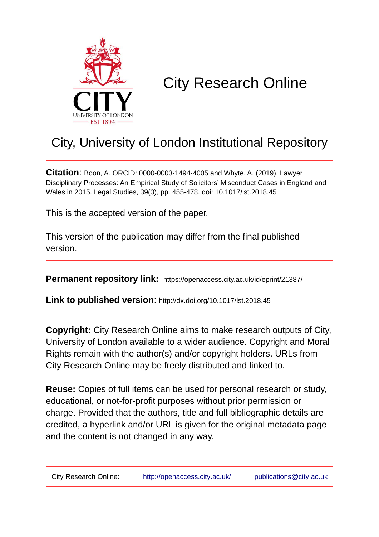

# City Research Online

# City, University of London Institutional Repository

**Citation**: Boon, A. ORCID: 0000-0003-1494-4005 and Whyte, A. (2019). Lawyer Disciplinary Processes: An Empirical Study of Solicitors' Misconduct Cases in England and Wales in 2015. Legal Studies, 39(3), pp. 455-478. doi: 10.1017/lst.2018.45

This is the accepted version of the paper.

This version of the publication may differ from the final published version.

**Permanent repository link:** https://openaccess.city.ac.uk/id/eprint/21387/

**Link to published version**: http://dx.doi.org/10.1017/lst.2018.45

**Copyright:** City Research Online aims to make research outputs of City, University of London available to a wider audience. Copyright and Moral Rights remain with the author(s) and/or copyright holders. URLs from City Research Online may be freely distributed and linked to.

**Reuse:** Copies of full items can be used for personal research or study, educational, or not-for-profit purposes without prior permission or charge. Provided that the authors, title and full bibliographic details are credited, a hyperlink and/or URL is given for the original metadata page and the content is not changed in any way.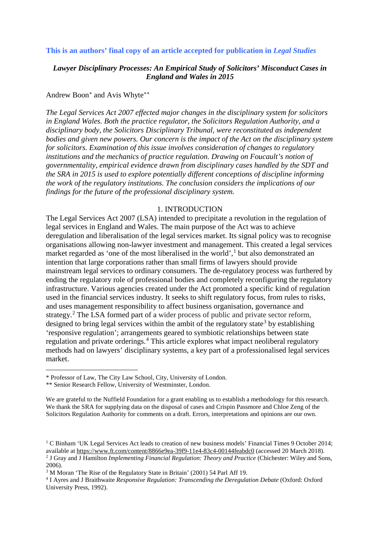#### **This is an authors' final copy of an article accepted for publication in** *Legal Studies*

# *Lawyer Disciplinary Processes: An Empirical Study of Solicitors' Misconduct Cases in England and Wales in 2015*

#### Andrew Boon[∗](#page-1-0) and Avis Whyte[∗](#page-1-1)[∗](#page-1-2)

*The Legal Services Act 2007 effected major changes in the disciplinary system for solicitors in England Wales. Both the practice regulator, the Solicitors Regulation Authority, and a disciplinary body, the Solicitors Disciplinary Tribunal, were reconstituted as independent bodies and given new powers. Our concern is the impact of the Act on the disciplinary system for solicitors. Examination of this issue involves consideration of changes to regulatory institutions and the mechanics of practice regulation. Drawing on Foucault's notion of governmentality, empirical evidence drawn from disciplinary cases handled by the SDT and the SRA in 2015 is used to explore potentially different conceptions of discipline informing the work of the regulatory institutions. The conclusion considers the implications of our findings for the future of the professional disciplinary system.*

#### 1. INTRODUCTION

The Legal Services Act 2007 (LSA) intended to precipitate a revolution in the regulation of legal services in England and Wales. The main purpose of the Act was to achieve deregulation and liberalisation of the legal services market. Its signal policy was to recognise organisations allowing non-lawyer investment and management. This created a legal services market regarded as 'one of the most liberalised in the world',<sup>[1](#page-1-3)</sup> but also demonstrated an intention that large corporations rather than small firms of lawyers should provide mainstream legal services to ordinary consumers. The de-regulatory process was furthered by ending the regulatory role of professional bodies and completely reconfiguring the regulatory infrastructure. Various agencies created under the Act promoted a specific kind of regulation used in the financial services industry. It seeks to shift regulatory focus, from rules to risks, and uses management responsibility to affect business organisation, governance and strategy.<sup>[2](#page-1-4)</sup> The LSA formed part of a wider process of public and private sector reform, designed to bring legal services within the ambit of the regulatory state<sup>[3](#page-1-5)</sup> by establishing 'responsive regulation'; arrangements geared to symbiotic relationships between state regulation and private orderings.<sup>[4](#page-1-6)</sup> This article explores what impact neoliberal regulatory methods had on lawyers' disciplinary systems, a key part of a professionalised legal services market.

We are grateful to the Nuffield Foundation for a grant enabling us to establish a methodology for this research. We thank the SRA for supplying data on the disposal of cases and Crispin Passmore and Chloe Zeng of the Solicitors Regulation Authority for comments on a draft. Errors, interpretations and opinions are our own.

<span id="page-1-0"></span> <sup>\*</sup> Professor of Law, The City Law School, City, University of London.

<sup>\*\*</sup> Senior Research Fellow, University of Westminster, London.

<span id="page-1-4"></span><span id="page-1-3"></span><span id="page-1-2"></span><span id="page-1-1"></span><sup>&</sup>lt;sup>1</sup> C Binham 'UK Legal Services Act leads to creation of new business models' Financial Times 9 October 2014; available at<https://www.ft.com/content/8866e9ea-39f9-11e4-83c4-00144feabdc0> (accessed 20 March 2018). <sup>2</sup> J Gray and J Hamilton *Implementing Financial Regulation: Theory and Practice* (Chichester: Wiley and Sons, 2006).<br><sup>3</sup> M Moran 'The Rise of the Regulatory State in Britain' (2001) 54 Parl Aff 19.

<span id="page-1-6"></span><span id="page-1-5"></span><sup>&</sup>lt;sup>4</sup> I Ayres and J Braithwaite *Responsive Regulation: Transcending the Deregulation Debate* (Oxford: Oxford University Press, 1992).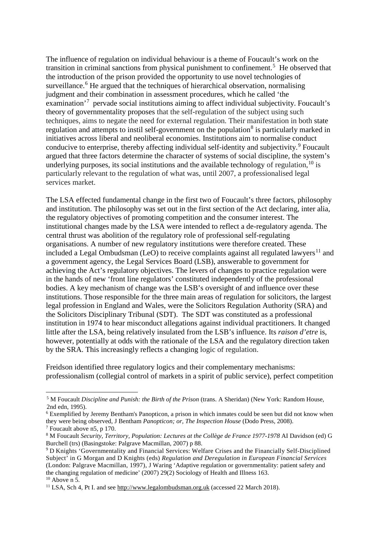The influence of regulation on individual behaviour is a theme of Foucault's work on the transition in criminal sanctions from physical punishment to confinement. [5](#page-2-0) He observed that the introduction of the prison provided the opportunity to use novel technologies of surveillance.<sup>[6](#page-2-1)</sup> He argued that the techniques of hierarchical observation, normalising judgment and their combination in assessment procedures, which he called 'the examination<sup>'[7](#page-2-2)</sup> pervade social institutions aiming to affect individual subjectivity. Foucault's theory of governmentality proposes that the self-regulation of the subject using such techniques, aims to negate the need for external regulation. Their manifestation in both state regulation and attempts to instil self-government on the population<sup>[8](#page-2-3)</sup> is particularly marked in initiatives across liberal and neoliberal economies. Institutions aim to normalise conduct conducive to enterprise, thereby affecting individual self-identity and subjectivity.<sup>[9](#page-2-4)</sup> Foucault argued that three factors determine the character of systems of social discipline, the system's underlying purposes, its social institutions and the available technology of regulation,  $10$  is particularly relevant to the regulation of what was, until 2007, a professionalised legal services market.

The LSA effected fundamental change in the first two of Foucault's three factors, philosophy and institution. The philosophy was set out in the first section of the Act declaring, inter alia, the regulatory objectives of promoting competition and the consumer interest. The institutional changes made by the LSA were intended to reflect a de-regulatory agenda. The central thrust was abolition of the regulatory role of professional self-regulating organisations. A number of new regulatory institutions were therefore created. These included a Legal Ombudsman (LeO) to receive complaints against all regulated lawyers<sup>[11](#page-2-6)</sup> and a government agency, the Legal Services Board (LSB), answerable to government for achieving the Act's regulatory objectives. The levers of changes to practice regulation were in the hands of new 'front line regulators' constituted independently of the professional bodies. A key mechanism of change was the LSB's oversight of and influence over these institutions. Those responsible for the three main areas of regulation for solicitors, the largest legal profession in England and Wales, were the Solicitors Regulation Authority (SRA) and the Solicitors Disciplinary Tribunal (SDT). The SDT was constituted as a professional institution in 1974 to hear misconduct allegations against individual practitioners. It changed little after the LSA, being relatively insulated from the LSB's influence. Its *raison d'etre* is, however, potentially at odds with the rationale of the LSA and the regulatory direction taken by the SRA. This increasingly reflects a changing logic of regulation.

Freidson identified three regulatory logics and their complementary mechanisms: professionalism (collegial control of markets in a spirit of public service), perfect competition

<span id="page-2-0"></span> <sup>5</sup> M Foucault *Discipline and Punish: the Birth of the Prison* (trans. A Sheridan) (New York: Random House, 2nd edn, 1995).<br><sup>6</sup> Exemplified by Jeremy Bentham's Panopticon, a prison in which inmates could be seen but did not know when

<span id="page-2-1"></span>they were being observed, J Bentham *Panopticon; or, The Inspection House* (Dodo Press, 2008).

<span id="page-2-2"></span><sup>7</sup> Foucault above n5, p 170.

<span id="page-2-3"></span><sup>8</sup> M Foucault *Security, Territory, Population: Lectures at the Collège de France 1977-1978* AI Davidson (ed) G Burchell (trs) (Basingstoke: Palgrave Macmillan, 2007) p 88.

<span id="page-2-4"></span><sup>9</sup> D Knights 'Governmentality and Financial Services: Welfare Crises and the Financially Self-Disciplined Subject' in G Morgan and D Knights (eds) *Regulation and Deregulation in European Financial Services* (London: Palgrave Macmillan, 1997), J Waring 'Adaptive regulation or governmentality: patient safety and the changing regulation of medicine' (2007) 29(2) Sociology of Health and Illness 163.  $10$  Above n 5.

<span id="page-2-6"></span><span id="page-2-5"></span> $11$  LSA, Sch 4, Pt I. and see http:/[/www.legalombudsman.org.uk](http://www.legalombudsman.org.uk/) (accessed 22 March 2018).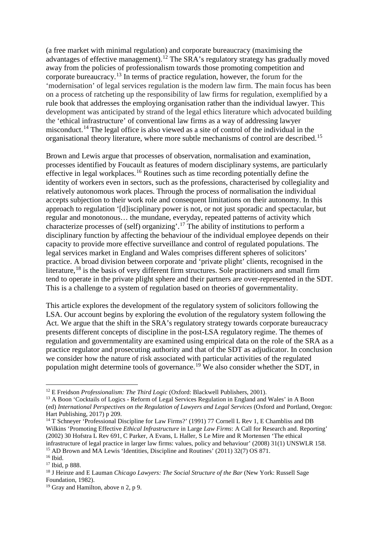(a free market with minimal regulation) and corporate bureaucracy (maximising the advantages of effective management).<sup>[12](#page-3-0)</sup> The SRA's regulatory strategy has gradually moved away from the policies of professionalism towards those promoting competition and corporate bureaucracy.[13](#page-3-1) In terms of practice regulation, however, the forum for the 'modernisation' of legal services regulation is the modern law firm. The main focus has been on a process of ratcheting up the responsibility of law firms for regulation, exemplified by a rule book that addresses the employing organisation rather than the individual lawyer. This development was anticipated by strand of the legal ethics literature which advocated building the 'ethical infrastructure' of conventional law firms as a way of addressing lawyer misconduct.<sup>[14](#page-3-2)</sup> The legal office is also viewed as a site of control of the individual in the organisational theory literature, where more subtle mechanisms of control are described.[15](#page-3-3)

Brown and Lewis argue that processes of observation, normalisation and examination, processes identified by Foucault as features of modern disciplinary systems, are particularly effective in legal workplaces.<sup>[16](#page-3-4)</sup> Routines such as time recording potentially define the identity of workers even in sectors, such as the professions, characterised by collegiality and relatively autonomous work places. Through the process of normalisation the individual accepts subjection to their work role and consequent limitations on their autonomy. In this approach to regulation '[d]isciplinary power is not, or not just sporadic and spectacular, but regular and monotonous… the mundane, everyday, repeated patterns of activity which characterize processes of (self) organizing'.[17](#page-3-5) The ability of institutions to perform a disciplinary function by affecting the behaviour of the individual employee depends on their capacity to provide more effective surveillance and control of regulated populations. The legal services market in England and Wales comprises different spheres of solicitors' practice. A broad division between corporate and 'private plight' clients, recognised in the literature.<sup>[18](#page-3-6)</sup> is the basis of very different firm structures. Sole practitioners and small firm tend to operate in the private plight sphere and their partners are over-represented in the SDT. This is a challenge to a system of regulation based on theories of governmentality.

This article explores the development of the regulatory system of solicitors following the LSA. Our account begins by exploring the evolution of the regulatory system following the Act. We argue that the shift in the SRA's regulatory strategy towards corporate bureaucracy presents different concepts of discipline in the post-LSA regulatory regime. The themes of regulation and governmentality are examined using empirical data on the role of the SRA as a practice regulator and prosecuting authority and that of the SDT as adjudicator. In conclusion we consider how the nature of risk associated with particular activities of the regulated population might determine tools of governance.<sup>[19](#page-3-7)</sup> We also consider whether the SDT, in

<span id="page-3-3"></span><sup>15</sup> AD Brown and MA Lewis 'Identities, Discipline and Routines' (2011) 32(7) OS 871.

<span id="page-3-0"></span> <sup>12</sup> E Freidson *Professionalism: The Third Logic* (Oxford: Blackwell Publishers, 2001).

<span id="page-3-1"></span><sup>&</sup>lt;sup>13</sup> A Boon 'Cocktails of Logics - Reform of Legal Services Regulation in England and Wales' in A Boon (ed) *International Perspectives on the Regulation of Lawyers and Legal Services* (Oxford and Portland, Oregon: Hart Publishing, 2017) p 209.

<span id="page-3-2"></span><sup>&</sup>lt;sup>14</sup> T Schneyer 'Professional Discipline for Law Firms?' (1991) 77 Cornell L Rev 1, E Chambliss and DB Wilkins 'Promoting Effective *Ethical Infrastructure* in Large *Law Firms*: A Call for Research and. Reporting' (2002) 30 Hofstra L Rev 691, C Parker, A Evans, L Haller, S Le Mire and R Mortensen 'The ethical infrastructure of legal practice in larger law firms: values, policy and behaviour' (2008) 31(1) UNSWLR 158.

<span id="page-3-4"></span><sup>16</sup> Ibid.

<span id="page-3-5"></span><sup>17</sup> Ibid, p 888.

<span id="page-3-6"></span><sup>18</sup> J Heinze and E Lauman *Chicago Lawyers: The Social Structure of the Bar* (New York: Russell Sage Foundation, 1982).

<span id="page-3-7"></span><sup>&</sup>lt;sup>19</sup> Gray and Hamilton, above n 2, p 9.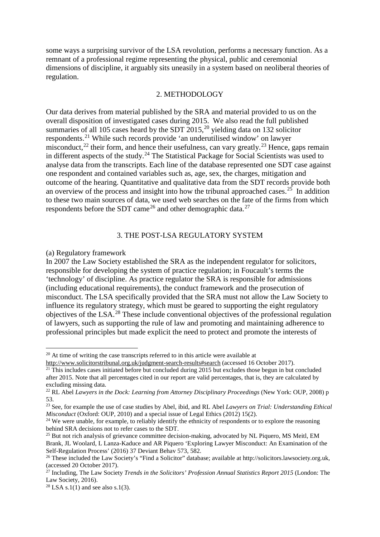some ways a surprising survivor of the LSA revolution, performs a necessary function. As a remnant of a professional regime representing the physical, public and ceremonial dimensions of discipline, it arguably sits uneasily in a system based on neoliberal theories of regulation.

#### 2. METHODOLOGY

Our data derives from material published by the SRA and material provided to us on the overall disposition of investigated cases during 2015. We also read the full published summaries of all 105 cases heard by the SDT  $2015$  $2015$ ,<sup>20</sup> yielding data on 132 solicitor respondents.[21](#page-4-1) While such records provide 'an underutilised window' on lawyer misconduct,<sup>[22](#page-4-2)</sup> their form, and hence their usefulness, can vary greatly.<sup>[23](#page-4-3)</sup> Hence, gaps remain in different aspects of the study.<sup>[24](#page-4-4)</sup> The Statistical Package for Social Scientists was used to analyse data from the transcripts. Each line of the database represented one SDT case against one respondent and contained variables such as, age, sex, the charges, mitigation and outcome of the hearing. Quantitative and qualitative data from the SDT records provide both an overview of the process and insight into how the tribunal approached cases.<sup>[25](#page-4-5)</sup> In addition to these two main sources of data, we used web searches on the fate of the firms from which respondents before the SDT came<sup>[26](#page-4-6)</sup> and other demographic data.<sup>[27](#page-4-7)</sup>

# 3. THE POST-LSA REGULATORY SYSTEM

#### (a) Regulatory framework

In 2007 the Law Society established the SRA as the independent regulator for solicitors, responsible for developing the system of practice regulation; in Foucault's terms the 'technology' of discipline. As practice regulator the SRA is responsible for admissions (including educational requirements), the conduct framework and the prosecution of misconduct. The LSA specifically provided that the SRA must not allow the Law Society to influence its regulatory strategy, which must be geared to supporting the eight regulatory objectives of the LSA.[28](#page-4-8) These include conventional objectives of the professional regulation of lawyers, such as supporting the rule of law and promoting and maintaining adherence to professional principles but made explicit the need to protect and promote the interests of

<span id="page-4-0"></span> $20$  At time of writing the case transcripts referred to in this article were available at

http:/[/www.solicitorstribunal.org.uk/judgment-search-results#search](http://www.solicitorstribunal.org.uk/judgment-search-results#search) (accessed 16 October 2017).

<span id="page-4-1"></span> $21$  This includes cases initiated before but concluded during 2015 but excludes those begun in but concluded after 2015. Note that all percentages cited in our report are valid percentages, that is, they are calculated by excluding missing data.

<span id="page-4-2"></span><sup>&</sup>lt;sup>22</sup> RL Abel *Lawyers in the Dock: Learning from Attorney Disciplinary Proceedings* (New York: OUP, 2008) p 53.

<span id="page-4-3"></span><sup>23</sup> See, for example the use of case studies by Abel, ibid, and RL Abel *Lawyers on Trial: Understanding Ethical Misconduct* (Oxford: OUP, 2010) and a special issue of Legal Ethics (2012) 15(2).<br><sup>24</sup> We were unable, for example, to reliably identify the ethnicity of respondents or to explore the reasoning

<span id="page-4-4"></span>behind SRA decisions not to refer cases to the SDT.

<span id="page-4-5"></span><sup>&</sup>lt;sup>25</sup> But not rich analysis of grievance committee decision-making, advocated by NL Piquero, MS Meitl, EM Brank, JL Woolard, L Lanza-Kaduce and AR Piquero 'Exploring Lawyer Misconduct: An Examination of the Self-Regulation Process' (2016) 37 Deviant Behav 573, 582.

<span id="page-4-6"></span><sup>26</sup> These included the Law Society's "Find a Solicitor" database; available at http://solicitors.lawsociety.org.uk, (accessed 20 October 2017).

<span id="page-4-7"></span><sup>27</sup> Including, The Law Society *Trends in the Solicitors' Profession Annual Statistics Report 2015* (London: The Law Society, 2016).

<span id="page-4-8"></span><sup>&</sup>lt;sup>28</sup> LSA s.1(1) and see also s.1(3).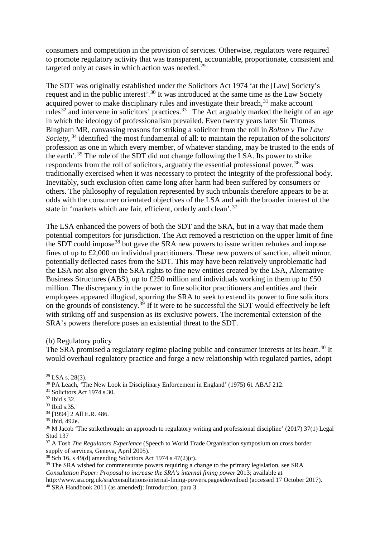consumers and competition in the provision of services. Otherwise, regulators were required to promote regulatory activity that was transparent, accountable, proportionate, consistent and targeted only at cases in which action was needed.<sup>[29](#page-5-0)</sup>

The SDT was originally established under the Solicitors Act 1974 'at the [Law] Society's request and in the public interest'.[30](#page-5-1) It was introduced at the same time as the Law Society acquired power to make disciplinary rules and investigate their breach, <sup>[31](#page-5-2)</sup> make account rules<sup>[32](#page-5-3)</sup> and intervene in solicitors' practices.<sup>33</sup> The Act arguably marked the height of an age in which the ideology of professionalism prevailed. Even twenty years later Sir Thomas Bingham MR, canvassing reasons for striking a solicitor from the roll in *Bolton v The Law Society*, <sup>[34](#page-5-5)</sup> identified 'the most fundamental of all: to maintain the reputation of the solicitors' profession as one in which every member, of whatever standing, may be trusted to the ends of the earth'.[35](#page-5-6) The role of the SDT did not change following the LSA. Its power to strike respondents from the roll of solicitors, arguably the essential professional power,  $36$  was traditionally exercised when it was necessary to protect the integrity of the professional body. Inevitably, such exclusion often came long after harm had been suffered by consumers or others. The philosophy of regulation represented by such tribunals therefore appears to be at odds with the consumer orientated objectives of the LSA and with the broader interest of the state in 'markets which are fair, efficient, orderly and clean'.[37](#page-5-8)

The LSA enhanced the powers of both the SDT and the SRA, but in a way that made them potential competitors for jurisdiction. The Act removed a restriction on the upper limit of fine the SDT could impose<sup>[38](#page-5-9)</sup> but gave the SRA new powers to issue written rebukes and impose fines of up to £2,000 on individual practitioners. These new powers of sanction, albeit minor, potentially deflected cases from the SDT. This may have been relatively unproblematic had the LSA not also given the SRA rights to fine new entities created by the LSA, Alternative Business Structures (ABS), up to £250 million and individuals working in them up to £50 million. The discrepancy in the power to fine solicitor practitioners and entities and their employees appeared illogical, spurring the SRA to seek to extend its power to fine solicitors on the grounds of consistency.<sup>[39](#page-5-10)</sup> If it were to be successful the SDT would effectively be left with striking off and suspension as its exclusive powers. The incremental extension of the SRA's powers therefore poses an existential threat to the SDT.

(b) Regulatory policy

The SRA promised a regulatory regime placing public and consumer interests at its heart.<sup>[40](#page-5-11)</sup> It would overhaul regulatory practice and forge a new relationship with regulated parties, adopt

<span id="page-5-8"></span><sup>37</sup> A Tosh *The Regulators Experience* (Speech to World Trade Organisation symposium on cross border supply of services, Geneva, April 2005).

<span id="page-5-11"></span>http://www.sra.org.uk/sra/consultations/internal-fining-powers.page#download (accessed 17 October 2017).<br><sup>40</sup> SRA Handbook 2011 (as amended): Introduction, para 3.

<span id="page-5-0"></span> <sup>29</sup> LSA s. 28(3).

<span id="page-5-1"></span> $30$  PA Leach, 'The New Look in Disciplinary Enforcement in England' (1975) 61 ABAJ 212.<br><sup>31</sup> Solicitors Act 1974 s.30.

<span id="page-5-3"></span><span id="page-5-2"></span><sup>32</sup> Ibid s.32.

<span id="page-5-4"></span><sup>33</sup> Ibid s.35.

<span id="page-5-5"></span><sup>&</sup>lt;sup>34</sup> [1994] 2 All E.R. 486.<br><sup>35</sup> Ibid, 492e.

<span id="page-5-6"></span>

<span id="page-5-7"></span> $36$  M Jacob 'The strikethrough: an approach to regulatory writing and professional discipline' (2017) 37(1) Legal Stud 137

<span id="page-5-9"></span> $38 \text{ Sch}$  16, s 49(d) amending Solicitors Act 1974 s 47(2)(c).

<span id="page-5-10"></span><sup>&</sup>lt;sup>39</sup> The SRA wished for commensurate powers requiring a change to the primary legislation, see SRA *Consultation Paper: Proposal to increase the SRA's internal fining power* 2013; available at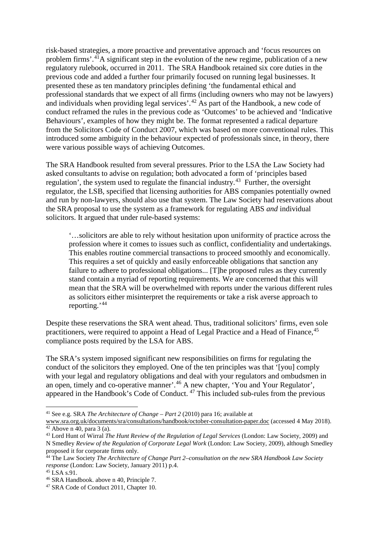risk-based strategies, a more proactive and preventative approach and 'focus resources on problem firms'.[41](#page-6-0)A significant step in the evolution of the new regime, publication of a new regulatory rulebook, occurred in 2011. The SRA Handbook retained six core duties in the previous code and added a further four primarily focused on running legal businesses. It presented these as ten mandatory principles defining 'the fundamental ethical and professional standards that we expect of all firms (including owners who may not be lawyers) and individuals when providing legal services'. [42](#page-6-1) As part of the Handbook, a new code of conduct reframed the rules in the previous code as 'Outcomes' to be achieved and 'Indicative Behaviours', examples of how they might be. The format represented a radical departure from the Solicitors Code of Conduct 2007, which was based on more conventional rules. This introduced some ambiguity in the behaviour expected of professionals since, in theory, there were various possible ways of achieving Outcomes.

The SRA Handbook resulted from several pressures. Prior to the LSA the Law Society had asked consultants to advise on regulation; both advocated a form of 'principles based regulation', the system used to regulate the financial industry.<sup>[43](#page-6-2)</sup> Further, the oversight regulator, the LSB, specified that licensing authorities for ABS companies potentially owned and run by non-lawyers, should also use that system. The Law Society had reservations about the SRA proposal to use the system as a framework for regulating ABS *and* individual solicitors. It argued that under rule-based systems:

'…solicitors are able to rely without hesitation upon uniformity of practice across the profession where it comes to issues such as conflict, confidentiality and undertakings. This enables routine commercial transactions to proceed smoothly and economically. This requires a set of quickly and easily enforceable obligations that sanction any failure to adhere to professional obligations... [T]he proposed rules as they currently stand contain a myriad of reporting requirements. We are concerned that this will mean that the SRA will be overwhelmed with reports under the various different rules as solicitors either misinterpret the requirements or take a risk averse approach to reporting.' [44](#page-6-3)

Despite these reservations the SRA went ahead. Thus, traditional solicitors' firms, even sole practitioners, were required to appoint a Head of Legal Practice and a Head of Finance, <sup>[45](#page-6-4)</sup> compliance posts required by the LSA for ABS.

The SRA's system imposed significant new responsibilities on firms for regulating the conduct of the solicitors they employed. One of the ten principles was that '[you] comply with your legal and regulatory obligations and deal with your regulators and ombudsmen in an open, timely and co-operative manner'.[46](#page-6-5) A new chapter, 'You and Your Regulator', appeared in the Handbook's Code of Conduct. [47](#page-6-6) This included sub-rules from the previous

<span id="page-6-0"></span> <sup>41</sup> See e.g. SRA *The Architecture of Change – Part 2* (2010) para 16; available at

[www.sra.org.uk/documents/sra/consultations/handbook/october-consultation-paper.doc](http://www.sra.org.uk/documents/sra/consultations/handbook/october-consultation-paper.doc) (accessed 4 May 2018).  $42$  Above n 40, para 3 (a).

<span id="page-6-2"></span><span id="page-6-1"></span><sup>43</sup> Lord Hunt of Wirral *The Hunt Review of the Regulation of Legal Services* (London: Law Society, 2009) and N Smedley *Review of the Regulation of Corporate Legal Work* (London: Law Society, 2009), although Smedley proposed it for corporate firms only.

<span id="page-6-3"></span><sup>44</sup> The Law Society *The Architecture of Change Part 2–consultation on the new SRA Handbook Law Society response* (London: Law Society, January 2011) p.4.

<span id="page-6-4"></span><sup>45</sup> LSA s.91.

<span id="page-6-5"></span><sup>46</sup> SRA Handbook. above n 40, Principle 7.

<span id="page-6-6"></span><sup>&</sup>lt;sup>47</sup> SRA Code of Conduct 2011, Chapter 10.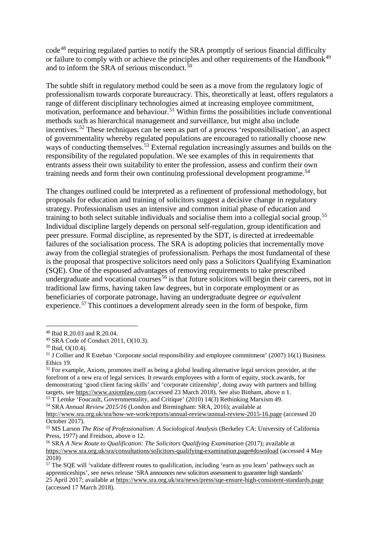code<sup>[48](#page-7-0)</sup> requiring regulated parties to notify the SRA promptly of serious financial difficulty or failure to comply with or achieve the principles and other requirements of the Handbook<sup>[49](#page-7-1)</sup> and to inform the SRA of serious misconduct. $50$ 

The subtle shift in regulatory method could be seen as a move from the regulatory logic of professionalism towards corporate bureaucracy. This, theoretically at least, offers regulators a range of different disciplinary technologies aimed at increasing employee commitment, motivation, performance and behaviour.<sup>[51](#page-7-3)</sup> Within firms the possibilities include conventional methods such as hierarchical management and surveillance, but might also include incentives.<sup>[52](#page-7-4)</sup> These techniques can be seen as part of a process 'responsibilisation', an aspect of governmentality whereby regulated populations are encouraged to rationally choose new ways of conducting themselves.<sup>[53](#page-7-5)</sup> External regulation increasingly assumes and builds on the responsibility of the regulated population. We see examples of this in requirements that entrants assess their own suitability to enter the profession, assess and confirm their own training needs and form their own continuing professional development programme.<sup>[54](#page-7-6)</sup>

The changes outlined could be interpreted as a refinement of professional methodology, but proposals for education and training of solicitors suggest a decisive change in regulatory strategy. Professionalism uses an intensive and common initial phase of education and training to both select suitable individuals and socialise them into a collegial social group.[55](#page-7-7) Individual discipline largely depends on personal self-regulation, group identification and peer pressure. Formal discipline, as represented by the SDT, is directed at irredeemable failures of the socialisation process. The SRA is adopting policies that incrementally move away from the collegial strategies of professionalism. Perhaps the most fundamental of these is the proposal that prospective solicitors need only pass a Solicitors Qualifying Examination (SQE). One of the espoused advantages of removing requirements to take prescribed undergraduate and vocational courses<sup>[56](#page-7-8)</sup> is that future solicitors will begin their careers, not in traditional law firms, having taken law degrees, but in corporate employment or as beneficiaries of corporate patronage, having an undergraduate degree *or equivalent* experience.<sup>[57](#page-7-9)</sup> This continues a development already seen in the form of bespoke, firm

<span id="page-7-5"></span><sup>53</sup> T Lemke 'Foucault, Governmentality, and Critique' (2010) 14(3) Rethinking Marxism 49.

<span id="page-7-6"></span><sup>54</sup> SRA *Annual Review 2015/16* (London and Birmingham: SRA, 2016); available at

<span id="page-7-0"></span> <sup>48</sup> Ibid R.20.03 and R.20.04.

<span id="page-7-1"></span><sup>49</sup> SRA Code of Conduct 2011, O(10.3).

<span id="page-7-2"></span><sup>50</sup> Ibid, O(10.4).

<span id="page-7-3"></span><sup>51</sup> J Collier and R Esteban 'Corporate social responsibility and employee commitment' (2007) 16(1) Business Ethics 19.

<span id="page-7-4"></span> $52$  For example, Axiom, promotes itself as being a global leading alternative legal services provider, at the forefront of a new era of legal services. It rewards employees with a form of equity, stock awards, for demonstrating 'good client facing skills' and 'corporate citizenship', doing away with partners and billing targets, see [https://www.axiomlaw.com](https://www.axiomlaw.com/) (accessed 23 March 2018). See also Binham, above n 1.

http:/[/www.sra.org.uk/sra/how-we-work/reports/annual-review/annual-review-2015-16.page](http://www.sra.org.uk/sra/how-we-work/reports/annual-review/annual-review-2015-16.page) (accessed 20 October 2017).

<span id="page-7-7"></span><sup>55</sup> MS Larson *The Rise of Professionalism: A Sociological Analysis* (Berkeley CA: University of California Press, 1977) and Freidson, above n 12.

<span id="page-7-8"></span><sup>56</sup> SRA *A New Route to Qualification: The Solicitors Qualifying Examination* (2017); available at <https://www.sra.org.uk/sra/consultations/solicitors-qualifying-examination.page#download> (accessed 4 May 2018)

<span id="page-7-9"></span> $57$  The SOE will 'validate different routes to qualification, including 'earn as you learn' pathways such as apprenticeships', see news release 'SRA announces new solicitors assessment to guarantee high standards' 25 April 2017; available at <https://www.sra.org.uk/sra/news/press/sqe-ensure-high-consistent-standards.page> (accessed 17 March 2018).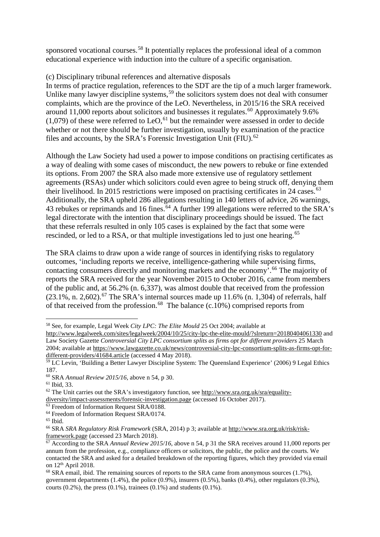sponsored vocational courses.<sup>[58](#page-8-0)</sup> It potentially replaces the professional ideal of a common educational experience with induction into the culture of a specific organisation.

# (c) Disciplinary tribunal references and alternative disposals

In terms of practice regulation, references to the SDT are the tip of a much larger framework. Unlike many lawyer discipline systems,  $59$  the solicitors system does not deal with consumer complaints, which are the province of the LeO. Nevertheless, in 2015/16 the SRA received around 11,000 reports about solicitors and businesses it regulates. [60](#page-8-2) Approximately 9.6%  $(1,079)$  of these were referred to LeO,<sup>[61](#page-8-3)</sup> but the remainder were assessed in order to decide whether or not there should be further investigation, usually by examination of the practice files and accounts, by the SRA's Forensic Investigation Unit (FIU).<sup>[62](#page-8-4)</sup>

Although the Law Society had used a power to impose conditions on practising certificates as a way of dealing with some cases of misconduct, the new powers to rebuke or fine extended its options. From 2007 the SRA also made more extensive use of regulatory settlement agreements (RSAs) under which solicitors could even agree to being struck off, denying them their livelihood. In 2015 restrictions were imposed on practising certificates in 24 cases.<sup>[63](#page-8-5)</sup> Additionally, the SRA upheld 286 allegations resulting in 140 letters of advice, 26 warnings, 43 rebukes or reprimands and 16 fines.<sup>[64](#page-8-6)</sup> A further 199 allegations were referred to the SRA's legal directorate with the intention that disciplinary proceedings should be issued. The fact that these referrals resulted in only 105 cases is explained by the fact that some were rescinded, or led to a RSA, or that multiple investigations led to just one hearing.<sup>[65](#page-8-7)</sup>

The SRA claims to draw upon a wide range of sources in identifying risks to regulatory outcomes, 'including reports we receive, intelligence-gathering while supervising firms, contacting consumers directly and monitoring markets and the economy<sup>7</sup>.<sup>[66](#page-8-8)</sup> The majority of reports the SRA received for the year November 2015 to October 2016, came from members of the public and, at 56.2% (n. 6,337), was almost double that received from the profession  $(23.1\%, n. 2,602)$ .<sup>[67](#page-8-9)</sup> The SRA's internal sources made up 11.6% (n. 1,304) of referrals, half of that received from the profession.<sup>[68](#page-8-10)</sup> The balance (c.10%) comprised reports from

<span id="page-8-5"></span><sup>63</sup> Freedom of Information Request SRA/0188.

<span id="page-8-0"></span> <sup>58</sup> See, for example, Legal Week *City LPC: The Elite Mould* 25 Oct 2004; available at

<http://www.legalweek.com/sites/legalweek/2004/10/25/city-lpc-the-elite-mould/?slreturn=20180404061330> and Law Society Gazette *Controversial City LPC consortium splits as firms opt for different providers* 25 March 2004; available a[t https://www.lawgazette.co.uk/news/controversial-city-lpc-consortium-splits-as-firms-opt-for](https://www.lawgazette.co.uk/news/controversial-city-lpc-consortium-splits-as-firms-opt-for-different-providers/41684.article)[different-providers/41684.article](https://www.lawgazette.co.uk/news/controversial-city-lpc-consortium-splits-as-firms-opt-for-different-providers/41684.article) (accessed 4 May 2018).

<span id="page-8-1"></span><sup>&</sup>lt;sup>59</sup> LC Levin, 'Building a Better Lawyer Discipline System: The Queensland Experience' (2006) 9 Legal Ethics 187.

<span id="page-8-2"></span><sup>60</sup> SRA *Annual Review 2015/16*, above n 54, p 30.

<span id="page-8-3"></span><sup>61</sup> Ibid, 33.

<span id="page-8-4"></span> $62$  The Unit carries out the SRA's investigatory function, see http:/[/www.sra.org.uk/sra/equality-](http://www.sra.org.uk/sra/equality-diversity/impact-assessments/forensic-investigation.page)

[diversity/impact-assessments/forensic-investigation.page](http://www.sra.org.uk/sra/equality-diversity/impact-assessments/forensic-investigation.page) (accessed 16 October 2017).

<span id="page-8-6"></span><sup>&</sup>lt;sup>64</sup> Freedom of Information Request SRA/0174.

<span id="page-8-7"></span><sup>&</sup>lt;sup>65</sup> Ibid.

<span id="page-8-8"></span><sup>66</sup> SRA *SRA Regulatory Risk Framework* (SRA, 2014) p 3; available at [http://www.sra.org.uk/risk/risk](http://www.sra.org.uk/risk/risk-framework.page)[framework.page](http://www.sra.org.uk/risk/risk-framework.page) (accessed 23 March 2018).

<span id="page-8-9"></span><sup>&</sup>lt;sup>67</sup> According to the SRA *Annual Review 2015/16*, above n 54, p 31 the SRA receives around 11,000 reports per annum from the profession, e.g., compliance officers or solicitors, the public, the police and the courts. We contacted the SRA and asked for a detailed breakdown of the reporting figures, which they provided via email on 12<sup>th</sup> April 2018.<br><sup>68</sup> SRA email, ibid. The remaining sources of reports to the SRA came from anonymous sources (1.7%),

<span id="page-8-10"></span>government departments  $(1.4\%)$ , the police  $(0.9\%)$ , insurers  $(0.5\%)$ , banks  $(0.4\%)$ , other regulators  $(0.3\%)$ . courts  $(0.2\%)$ , the press  $(0.1\%)$ , trainees  $(0.1\%)$  and students  $(0.1\%)$ .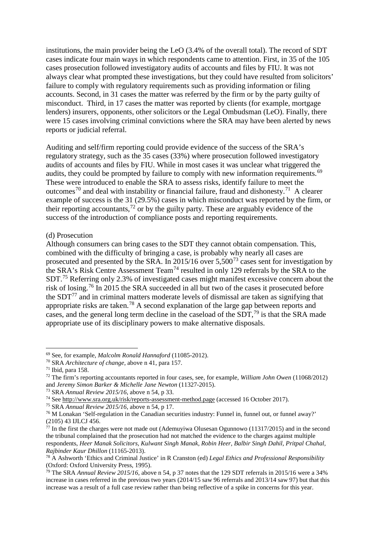institutions, the main provider being the LeO (3.4% of the overall total). The record of SDT cases indicate four main ways in which respondents came to attention. First, in 35 of the 105 cases prosecution followed investigatory audits of accounts and files by FIU. It was not always clear what prompted these investigations, but they could have resulted from solicitors' failure to comply with regulatory requirements such as providing information or filing accounts. Second, in 31 cases the matter was referred by the firm or by the party guilty of misconduct. Third, in 17 cases the matter was reported by clients (for example, mortgage lenders) insurers, opponents, other solicitors or the Legal Ombudsman (LeO). Finally, there were 15 cases involving criminal convictions where the SRA may have been alerted by news reports or judicial referral.

Auditing and self/firm reporting could provide evidence of the success of the SRA's regulatory strategy, such as the 35 cases (33%) where prosecution followed investigatory audits of accounts and files by FIU. While in most cases it was unclear what triggered the audits, they could be prompted by failure to comply with new information requirements.<sup>[69](#page-9-0)</sup> These were introduced to enable the SRA to assess risks, identify failure to meet the outcomes<sup>[70](#page-9-1)</sup> and deal with instability or financial failure, fraud and dishonesty.<sup>[71](#page-9-2)</sup> A clearer example of success is the 31 (29.5%) cases in which misconduct was reported by the firm, or their reporting accountants,  $^{72}$  $^{72}$  $^{72}$  or by the guilty party. These are arguably evidence of the success of the introduction of compliance posts and reporting requirements.

# (d) Prosecution

Although consumers can bring cases to the SDT they cannot obtain compensation. This, combined with the difficulty of bringing a case, is probably why nearly all cases are prosecuted and presented by the SRA. In 2015/16 over 5,500<sup>[73](#page-9-4)</sup> cases sent for investigation by the SRA's Risk Centre Assessment Team[74](#page-9-5) resulted in only 129 referrals by the SRA to the SDT.[75](#page-9-6) Referring only 2.3% of investigated cases might manifest excessive concern about the risk of losing.[76](#page-9-7) In 2015 the SRA succeeded in all but two of the cases it prosecuted before the SDT<sup>[77](#page-9-8)</sup> and in criminal matters moderate levels of dismissal are taken as signifying that appropriate risks are taken.[78](#page-9-9) A second explanation of the large gap between reports and cases, and the general long term decline in the caseload of the  $SDT<sub>1</sub><sup>79</sup>$  $SDT<sub>1</sub><sup>79</sup>$  $SDT<sub>1</sub><sup>79</sup>$  is that the SRA made appropriate use of its disciplinary powers to make alternative disposals.

<span id="page-9-6"></span><sup>75</sup> SRA *Annual Review 2015/16*, above n 54, p 17.

<span id="page-9-0"></span> <sup>69</sup> See, for example, *Malcolm Ronald Hannaford* (11085-2012).

<span id="page-9-1"></span><sup>70</sup> SRA *Architecture of change,* above n 41, para 157. 71 Ibid, para 158.

<span id="page-9-3"></span><span id="page-9-2"></span><sup>72</sup> The firm's reporting accountants reported in four cases, see, for example, *William John Owen* (11068/2012) and *Jeremy Simon Barker & Michelle Jane Newton* (11327-2015).

<span id="page-9-4"></span><sup>73</sup> SRA *Annual Review 2015/16*, above n 54, p 33.

<span id="page-9-5"></span><sup>74</sup> See http:/[/www.sra.org.uk/risk/reports-assessment-method.page](http://www.sra.org.uk/risk/reports-assessment-method.page) (accessed 16 October 2017).

<span id="page-9-7"></span><sup>&</sup>lt;sup>76</sup> M Lonakan 'Self-regulation in the Canadian securities industry: Funnel in, funnel out, or funnel away?' (2105) 43 IJLCJ 456.

<span id="page-9-8"></span> $^{77}$  In the first the charges were not made out (Ademuyiwa Olusesan Ogunnowo (11317/2015) and in the second the tribunal complained that the prosecution had not matched the evidence to the charges against multiple respondents, *Heer Manak Solicitors, Kulwant Singh Manak, Robin Heer, Balbir Singh Dahil, Pritpal Chahal, Rajbinder Kaur Dhillon* (11165-2013).<br><sup>78</sup> A Ashworth 'Ethics and Criminal Justice' in R Cranston (ed) *Legal Ethics and Professional Responsibility* 

<span id="page-9-9"></span><sup>(</sup>Oxford: Oxford University Press, 1995).

<span id="page-9-10"></span><sup>79</sup> The SRA *Annual Review 2015/16*, above n 54, p 37 notes that the 129 SDT referrals in 2015/16 were a 34% increase in cases referred in the previous two years (2014/15 saw 96 referrals and 2013/14 saw 97) but that this increase was a result of a full case review rather than being reflective of a spike in concerns for this year.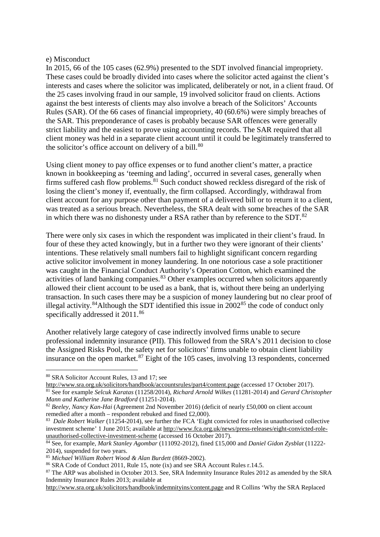#### e) Misconduct

In 2015, 66 of the 105 cases (62.9%) presented to the SDT involved financial impropriety. These cases could be broadly divided into cases where the solicitor acted against the client's interests and cases where the solicitor was implicated, deliberately or not, in a client fraud. Of the 25 cases involving fraud in our sample, 19 involved solicitor fraud on clients. Actions against the best interests of clients may also involve a breach of the Solicitors' Accounts Rules (SAR). Of the 66 cases of financial impropriety, 40 (60.6%) were simply breaches of the SAR. This preponderance of cases is probably because SAR offences were generally strict liability and the easiest to prove using accounting records. The SAR required that all client money was held in a separate client account until it could be legitimately transferred to the solicitor's office account on delivery of a bill. $80$ 

Using client money to pay office expenses or to fund another client's matter, a practice known in bookkeeping as 'teeming and lading', occurred in several cases, generally when firms suffered cash flow problems.<sup>[81](#page-10-1)</sup> Such conduct showed reckless disregard of the risk of losing the client's money if, eventually, the firm collapsed. Accordingly, withdrawal from client account for any purpose other than payment of a delivered bill or to return it to a client, was treated as a serious breach. Nevertheless, the SRA dealt with some breaches of the SAR in which there was no dishonesty under a RSA rather than by reference to the SDT. $^{82}$  $^{82}$  $^{82}$ 

There were only six cases in which the respondent was implicated in their client's fraud. In four of these they acted knowingly, but in a further two they were ignorant of their clients' intentions. These relatively small numbers fail to highlight significant concern regarding active solicitor involvement in money laundering. In one notorious case a sole practitioner was caught in the Financial Conduct Authority's Operation Cotton, which examined the activities of land banking companies.<sup>[83](#page-10-3)</sup> Other examples occurred when solicitors apparently allowed their client account to be used as a bank, that is, without there being an underlying transaction. In such cases there may be a suspicion of money laundering but no clear proof of illegal activity.<sup>84</sup>Although the SDT identified this issue in  $2002^{85}$  $2002^{85}$  $2002^{85}$  the code of conduct only specifically addressed it 2011.<sup>[86](#page-10-6)</sup>

Another relatively large category of case indirectly involved firms unable to secure professional indemnity insurance (PII). This followed from the SRA's 2011 decision to close the Assigned Risks Pool, the safety net for solicitors' firms unable to obtain client liability insurance on the open market.<sup>[87](#page-10-7)</sup> Eight of the 105 cases, involving 13 respondents, concerned

http:/[/www.sra.org.uk/solicitors/handbook/indemnityins/content.page](http://www.sra.org.uk/solicitors/handbook/indemnityins/content.page) and R Collins 'Why the SRA Replaced

<span id="page-10-0"></span> <sup>80</sup> SRA Solicitor Account Rules, 13 and 17; see

<span id="page-10-1"></span>http:/[/www.sra.org.uk/solicitors/handbook/accountsrules/part4/content.page](http://www.sra.org.uk/solicitors/handbook/accountsrules/part4/content.page) (accessed 17 October 2017). <sup>81</sup> See for example *Selcuk Karatas* (11258/2014), *Richard Arnold Wilkes* (11281-2014) and *Gerard Christopher Mann and Katherine Jane Bradford* (11251-2014).

<span id="page-10-2"></span><sup>&</sup>lt;sup>82</sup> *Beeley, Nancy Kan-Hai* (Agreement 2nd November 2016) (deficit of nearly £50,000 on client account remedied after a month – respondent rebuked and fined £2,000).

<span id="page-10-3"></span><sup>&</sup>lt;sup>83</sup> Dale Robert Walker (11254-2014), see further the FCA 'Eight convicted for roles in unauthorised collective investment scheme' 1 June 2015; available at http://www.fca.org.uk/news/press-releases/eight-convicted-role-<br>unauthorised-collective-investment-scheme (accessed 16 October 2017).

<span id="page-10-4"></span><sup>&</sup>lt;sup>84</sup> See, for example, *Mark Stanley Agombar* [\(](http://www.fca.org.uk/news/press-releases/eight-convicted-role-unauthorised-collective-investment-scheme)111092-2012), fined £15,000 and *Daniel Gidon Zysblat* (11222-2014), suspended for two years.

<span id="page-10-5"></span><sup>85</sup> *Michael William Robert Wood & Alan Burdett* (8669-2002).

<span id="page-10-6"></span><sup>86</sup> SRA Code of Conduct 2011, Rule 15, note (ix) and see SRA Account Rules r.14.5.

<span id="page-10-7"></span><sup>&</sup>lt;sup>87</sup> The ARP was abolished in October 2013. See, SRA Indemnity Insurance Rules 2012 as amended by the SRA Indemnity Insurance Rules 2013; available at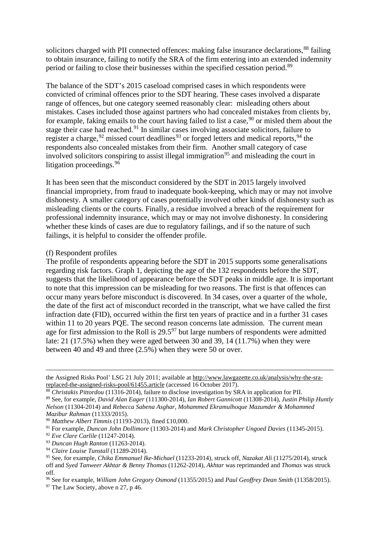solicitors charged with PII connected offences: making false insurance declarations, [88](#page-11-0) failing to obtain insurance, failing to notify the SRA of the firm entering into an extended indemnity period or failing to close their businesses within the specified cessation period.[89](#page-11-1)

The balance of the SDT's 2015 caseload comprised cases in which respondents were convicted of criminal offences prior to the SDT hearing. These cases involved a disparate range of offences, but one category seemed reasonably clear: misleading others about mistakes. Cases included those against partners who had concealed mistakes from clients by, for example, faking emails to the court having failed to list a case,  $90$  or misled them about the stage their case had reached.<sup>[91](#page-11-3)</sup> In similar cases involving associate solicitors, failure to register a charge,  $92$  missed court deadlines<sup>[93](#page-11-5)</sup> or forged letters and medical reports,  $94$  the respondents also concealed mistakes from their firm. Another small category of case involved solicitors conspiring to assist illegal immigration<sup>[95](#page-11-7)</sup> and misleading the court in litigation proceedings.  $96$ 

It has been seen that the misconduct considered by the SDT in 2015 largely involved financial impropriety, from fraud to inadequate book-keeping, which may or may not involve dishonesty. A smaller category of cases potentially involved other kinds of dishonesty such as misleading clients or the courts. Finally, a residue involved a breach of the requirement for professional indemnity insurance, which may or may not involve dishonesty. In considering whether these kinds of cases are due to regulatory failings, and if so the nature of such failings, it is helpful to consider the offender profile.

### (f) Respondent profiles

The profile of respondents appearing before the SDT in 2015 supports some generalisations regarding risk factors. Graph 1, depicting the age of the 132 respondents before the SDT, suggests that the likelihood of appearance before the SDT peaks in middle age. It is important to note that this impression can be misleading for two reasons. The first is that offences can occur many years before misconduct is discovered. In 34 cases, over a quarter of the whole, the date of the first act of misconduct recorded in the transcript, what we have called the first infraction date (FID), occurred within the first ten years of practice and in a further 31 cases within 11 to 20 years PQE. The second reason concerns late admission. The current mean age for first admission to the Roll is  $29.5<sup>97</sup>$  $29.5<sup>97</sup>$  $29.5<sup>97</sup>$  but large numbers of respondents were admitted late: 21 (17.5%) when they were aged between 30 and 39, 14 (11.7%) when they were between 40 and 49 and three (2.5%) when they were 50 or over.

the Assigned Risks Pool' LSG 21 July 2011; available at http:/[/www.lawgazette.co.uk/analysis/why-the-sra](http://www.lawgazette.co.uk/analysis/why-the-sra-replaced-the-assigned-risks-pool/61455.article)[replaced-the-assigned-risks-pool/61455.article](http://www.lawgazette.co.uk/analysis/why-the-sra-replaced-the-assigned-risks-pool/61455.article) (accessed 16 October 2017).

<span id="page-11-0"></span><sup>88</sup> *Christakis Pittordou* (11316-2014), failure to disclose investigation by SRA in application for PII.

<span id="page-11-1"></span><sup>89</sup> See, for example, *David Alan Eager* (111300-2014), *Ian Robert Gannicott* (11308-2014), *Justin Philip Huntly Nelson* (11304-2014) and *Rebecca Sabena Asghar, Mohammed Ekramulhoque Mazumder & Mohammed Mazibur Rahman* (11333/2015).

<span id="page-11-2"></span><sup>90</sup> *Matthew Albert Timmis* (11193-2013), fined £10,000.

<span id="page-11-3"></span><sup>91</sup> For example, *Duncan John Dollimore* (11303-2014) and *Mark Christopher Ungoed Davies* (11345-2015).

<span id="page-11-4"></span><sup>92</sup> *Eve Clare Carlile* (11247-2014).

<span id="page-11-5"></span><sup>93</sup> *Duncan Hugh Ranton* (11263-2014).

<span id="page-11-6"></span><sup>94</sup> *Claire Louise Tunstall* (11289-2014).

<span id="page-11-7"></span><sup>95</sup> See, for example, *Chika Emmanuel Ike-Michael* (11233-2014), struck off, *Nazakat Ali* (11275/2014), struck off and *Syed Tanweer Akhtar & Benny Thomas* (11262-2014), *Akhtar* was reprimanded and *Thomas* was struck off.

<span id="page-11-8"></span><sup>96</sup> See for example, *William John Gregory Osmond* (11355/2015) and *Paul Geoffrey Dean Smith* (11358/2015).

<span id="page-11-9"></span> $97$  The Law Society, above n 27, p 46.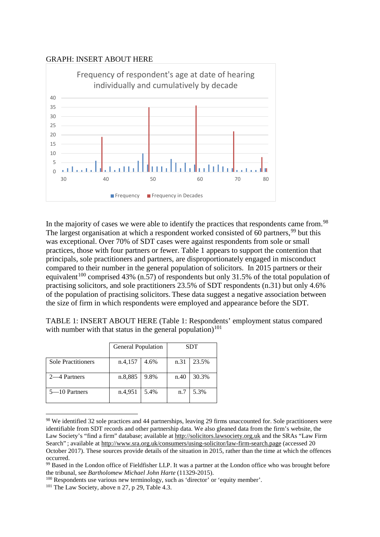# GRAPH: INSERT ABOUT HERE



In the majority of cases we were able to identify the practices that respondents came from.<sup>[98](#page-12-0)</sup> The largest organisation at which a respondent worked consisted of  $60$  partners, <sup>[99](#page-12-1)</sup> but this was exceptional. Over 70% of SDT cases were against respondents from sole or small practices, those with four partners or fewer. Table 1 appears to support the contention that principals, sole practitioners and partners, are disproportionately engaged in misconduct compared to their number in the general population of solicitors. In 2015 partners or their equivalent<sup>[100](#page-12-2)</sup> comprised 43% (n.57) of respondents but only 31.5% of the total population of practising solicitors, and sole practitioners 23.5% of SDT respondents (n.31) but only 4.6% of the population of practising solicitors. These data suggest a negative association between the size of firm in which respondents were employed and appearance before the SDT.

TABLE 1: INSERT ABOUT HERE (Table 1: Respondents' employment status compared with number with that status in the general population)<sup>[101](#page-12-3)</sup>

|                           | <b>General Population</b> |      | <b>SDT</b> |       |
|---------------------------|---------------------------|------|------------|-------|
| <b>Sole Practitioners</b> | n.4,157                   | 4.6% | n.31       | 23.5% |
| 2—4 Partners              | n.8,885                   | 9.8% | n.40       | 30.3% |
| 5–10 Partners             | n.4,951                   | 5.4% | n.7        | 5.3%  |

<span id="page-12-0"></span><sup>98</sup> We identified 32 sole practices and 44 partnerships, leaving 29 firms unaccounted for. Sole practitioners were identifiable from SDT records and other partnership data. We also gleaned data from the firm's website, the Law Society's "find a firm" database; available at http://solicitors.lawsociety.org.uk and the SRAs "Law Firm Search" ; available at http:/[/www.sra.org.uk/consumers/using-solicitor/law-firm-search.page](http://www.sra.org.uk/consumers/using-solicitor/law-firm-search.page) (accessed 20 October 2017). These sources provide details of the situation in 2015, rather than the time at which the offences occurred.

<span id="page-12-1"></span><sup>99</sup> Based in the London office of Fieldfisher LLP. It was a partner at the London office who was brought before the tribunal, see *Bartholomew Michael John Harte* (11329-2015).

<span id="page-12-2"></span><sup>100</sup> Respondents use various new terminology, such as 'director' or 'equity member'.

<span id="page-12-3"></span> $101$  The Law Society, above n 27, p 29, Table 4.3.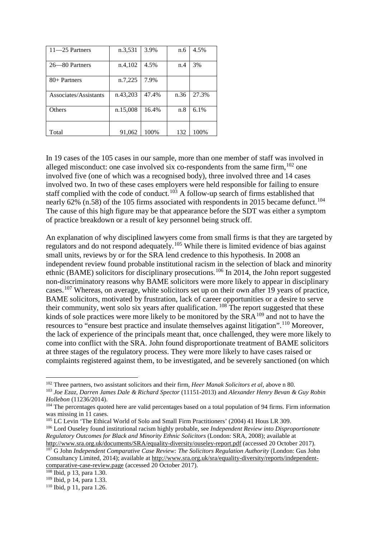| $11 - 25$ Partners    | n.3,531  | 3.9%  | n.6  | 4.5%  |
|-----------------------|----------|-------|------|-------|
|                       |          |       |      |       |
| 26—80 Partners        | n.4,102  | 4.5%  | n.4  | 3%    |
|                       |          |       |      |       |
| $80+$ Partners        | n.7,225  | 7.9%  |      |       |
|                       |          |       |      |       |
| Associates/Assistants | n.43,203 | 47.4% | n.36 | 27.3% |
|                       |          |       |      |       |
| Others                | n.15,008 | 16.4% | n.8  | 6.1%  |
|                       |          |       |      |       |
|                       |          |       |      |       |
| Total                 | 91,062   | 100%  | 132  | 100%  |

In 19 cases of the 105 cases in our sample, more than one member of staff was involved in alleged misconduct: one case involved six co-respondents from the same firm,  $102$  one involved five (one of which was a recognised body), three involved three and 14 cases involved two. In two of these cases employers were held responsible for failing to ensure staff complied with the code of conduct.<sup>[103](#page-13-1)</sup> A follow-up search of firms established that nearly 62% (n.58) of the 105 firms associated with respondents in 2015 became defunct.<sup>[104](#page-13-2)</sup> The cause of this high figure may be that appearance before the SDT was either a symptom of practice breakdown or a result of key personnel being struck off.

An explanation of why disciplined lawyers come from small firms is that they are targeted by regulators and do not respond adequately.[105](#page-13-3) While there is limited evidence of bias against small units, reviews by or for the SRA lend credence to this hypothesis. In 2008 an independent review found probable institutional racism in the selection of black and minority ethnic (BAME) solicitors for disciplinary prosecutions.<sup>[106](#page-13-4)</sup> In 2014, the John report suggested non-discriminatory reasons why BAME solicitors were more likely to appear in disciplinary cases.[107](#page-13-5) Whereas, on average, white solicitors set up on their own after 19 years of practice, BAME solicitors, motivated by frustration, lack of career opportunities or a desire to serve their community, went solo six years after qualification.  $^{108}$  $^{108}$  $^{108}$  The report suggested that these kinds of sole practices were more likely to be monitored by the  $SRA<sup>109</sup>$  $SRA<sup>109</sup>$  $SRA<sup>109</sup>$  and not to have the resources to "ensure best practice and insulate themselves against litigation".[110](#page-13-8) Moreover, the lack of experience of the principals meant that, once challenged, they were more likely to come into conflict with the SRA. John found disproportionate treatment of BAME solicitors at three stages of the regulatory process. They were more likely to have cases raised or complaints registered against them, to be investigated, and be severely sanctioned (on which

<span id="page-13-3"></span><sup>105</sup> LC Levin 'The Ethical World of Solo and Small Firm Practitioners' (2004) 41 Hous LR 309.

<span id="page-13-0"></span> <sup>102</sup> Three partners, two assistant solicitors and their firm, *Heer Manak Solicitors et al*, above n 80*.*

<span id="page-13-1"></span><sup>103</sup> *Joe Ezaz, Darren James Dale & Richard Spector* (11151-2013) and *Alexander Henry Bevan & Guy Robin Hollebon* (11236/2014).

<span id="page-13-2"></span><sup>&</sup>lt;sup>104</sup> The percentages quoted here are valid percentages based on a total population of 94 firms. Firm information was missing in 11 cases.

<span id="page-13-4"></span><sup>106</sup> Lord Ouseley found institutional racism highly probable, see *Independent Review into Disproportionate Regulatory Outcomes for Black and Minority Ethnic Solicitors* (London: SRA, 2008); available at

<span id="page-13-5"></span>http:/[/www.sra.org.uk/documents/SRA/equality-diversity/ouseley-report.pdf](http://www.sra.org.uk/documents/SRA/equality-diversity/ouseley-report.pdf) (accessed 20 October 2017). <sup>107</sup> G John *Independent Comparative Case Review: The Solicitors Regulation Authority* (London: Gus John Consultancy Limited, 2014); available at [http://www.sra.org.uk/sra/equality-diversity/reports/independent](http://www.sra.org.uk/sra/equality-diversity/reports/independent-comparative-case-review.page)[comparative-case-review.page](http://www.sra.org.uk/sra/equality-diversity/reports/independent-comparative-case-review.page) (accessed 20 October 2017).

<span id="page-13-6"></span> $108$  Ibid, p 13, para 1.30.<br> $109$  Ibid, p 14, para 1.33.

<span id="page-13-8"></span><span id="page-13-7"></span> $110$  Ibid, p 11, para 1.26.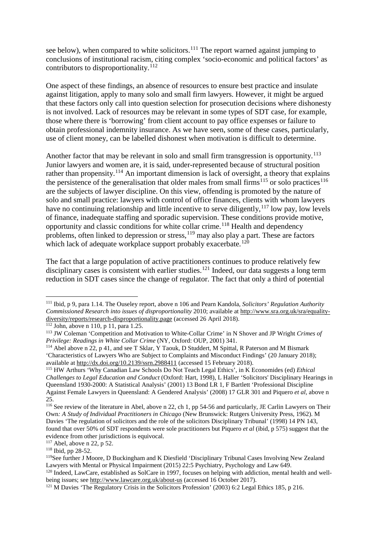see below), when compared to white solicitors.<sup>[111](#page-14-0)</sup> The report warned against jumping to conclusions of institutional racism, citing complex 'socio-economic and political factors' as contributors to disproportionality.<sup>[112](#page-14-1)</sup>

One aspect of these findings, an absence of resources to ensure best practice and insulate against litigation, apply to many solo and small firm lawyers. However, it might be argued that these factors only call into question selection for prosecution decisions where dishonesty is not involved. Lack of resources may be relevant in some types of SDT case, for example, those where there is 'borrowing' from client account to pay office expenses or failure to obtain professional indemnity insurance. As we have seen, some of these cases, particularly, use of client money, can be labelled dishonest when motivation is difficult to determine.

Another factor that may be relevant in solo and small firm transgression is opportunity.<sup>[113](#page-14-2)</sup> Junior lawyers and women are, it is said, under-represented because of structural position rather than propensity.<sup>[114](#page-14-3)</sup> An important dimension is lack of oversight, a theory that explains the persistence of the generalisation that older males from small firms<sup>[115](#page-14-4)</sup> or solo practices<sup>[116](#page-14-5)</sup> are the subjects of lawyer discipline. On this view, offending is promoted by the nature of solo and small practice: lawyers with control of office finances, clients with whom lawyers have no continuing relationship and little incentive to serve diligently,  $117$  low pay, low levels of finance, inadequate staffing and sporadic supervision. These conditions provide motive, opportunity and classic conditions for white collar crime.<sup>[118](#page-14-7)</sup> Health and dependency problems, often linked to depression or stress,  $^{119}$  $^{119}$  $^{119}$  may also play a part. These are factors which lack of adequate workplace support probably exacerbate.<sup>[120](#page-14-9)</sup>

The fact that a large population of active practitioners continues to produce relatively few disciplinary cases is consistent with earlier studies.<sup>[121](#page-14-10)</sup> Indeed, our data suggests a long term reduction in SDT cases since the change of regulator. The fact that only a third of potential

<span id="page-14-1"></span> $\frac{112}{112}$  John, above n 110, p 11, para 1.25.

<span id="page-14-0"></span> <sup>111</sup> Ibid, p 9, para 1.14. The Ouseley report, above n 106 and Pearn Kandola, *Solicitors' Regulation Authority Commissioned Research into issues of disproportionality* 2010; available at http:/[/www.sra.org.uk/sra/equality](http://www.sra.org.uk/sra/equality-diversity/reports/research-disproportionality.page)[diversity/reports/research-disproportionality.page](http://www.sra.org.uk/sra/equality-diversity/reports/research-disproportionality.page) (accessed 26 April 2018).

<span id="page-14-2"></span><sup>113</sup> JW Coleman 'Competition and Motivation to White-Collar Crime' in N Shover and JP Wright *Crimes of Privilege: Readings in White Collar Crime* (NY, Oxford: OUP, 2001) 341.

<span id="page-14-3"></span><sup>&</sup>lt;sup>114</sup> Abel above n 22, p 41, and see T Sklar, Y Taouk, D Studdert, M Spittal, R Paterson and M Bismark 'Characteristics of Lawyers Who are Subject to Complaints and Misconduct Findings' (20 January 2018);

<span id="page-14-4"></span><sup>&</sup>lt;sup>115</sup> HW Arthurs 'Why Canadian Law Schools Do Not Teach Legal Ethics', in K Economides (ed) *Ethical Challenges to Legal Education and Conduct* (Oxford: Hart, 1998), L Haller 'Solicitors' Disciplinary Hearings in Queensland 1930-2000: A Statistical Analysis' (2001) 13 Bond LR 1, F Bartlett 'Professional Discipline Against Female Lawyers in Queensland: A Gendered Analysis' (2008) 17 GLR 301 and Piquero *et al,* above n 25.

<span id="page-14-5"></span><sup>116</sup> See review of the literature in Abel*,* above n 22, ch 1, pp 54-56 and particularly, JE Carlin Lawyers on Their Own*: A Study of Individual Practitioners in Chicago* (New Brunswick: Rutgers University Press, 1962). M Davies ['The regulation of solicitors and the role of the](https://www.researchgate.net/publication/285141955_The_regulation_of_solicitors_and_the_role_of_the_solicitors_Disciplinary_Tribunal) solicitors Disciplinary Tribunal' (1998) 14 PN 143, found that over 50% of SDT respondents were sole practitioners but Piquero *et al* (ibid, p 575) suggest that the evidence from other jurisdictions is equivocal.

<span id="page-14-6"></span><sup>117</sup> Abel*,* above n 22, p 52.

<span id="page-14-7"></span><sup>118</sup> Ibid, pp 28-52.

<span id="page-14-8"></span><sup>119</sup>See further J Moore, D Buckingham and K Diesfield 'Disciplinary Tribunal Cases Involving New Zealand Lawyers with Mental or Physical Impairment (2015) 22:5 Psychiatry, Psychology and Law 649.

<span id="page-14-9"></span><sup>&</sup>lt;sup>120</sup> Indeed, LawCare, established as SolCare in 1997, focuses on helping with addiction, mental health and wellbeing issues; see http:/[/www.lawcare.org.uk/about-us](http://www.lawcare.org.uk/about-us) (accessed 16 October 2017).

<span id="page-14-10"></span><sup>121</sup> M Davies 'The Regulatory Crisis in the Solicitors Profession' (2003) 6:2 Legal Ethics 185, p 216.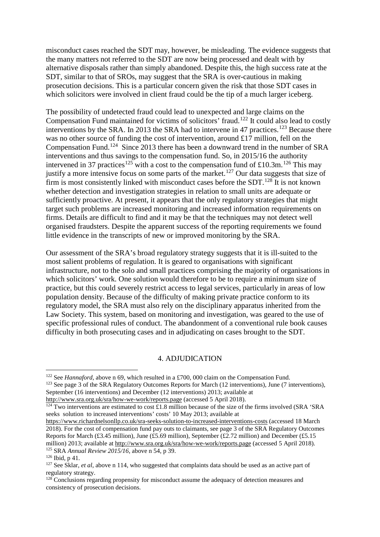misconduct cases reached the SDT may, however, be misleading. The evidence suggests that the many matters not referred to the SDT are now being processed and dealt with by alternative disposals rather than simply abandoned. Despite this, the high success rate at the SDT, similar to that of SROs, may suggest that the SRA is over-cautious in making prosecution decisions. This is a particular concern given the risk that those SDT cases in which solicitors were involved in client fraud could be the tip of a much larger iceberg.

The possibility of undetected fraud could lead to unexpected and large claims on the Compensation Fund maintained for victims of solicitors' fraud.<sup>[122](#page-15-0)</sup> It could also lead to costly interventions by the SRA. In 2013 the SRA had to intervene in 47 practices.<sup>[123](#page-15-1)</sup> Because there was no other source of funding the cost of intervention, around £17 million, fell on the Compensation Fund.[124](#page-15-2) Since 2013 there has been a downward trend in the number of SRA interventions and thus savings to the compensation fund. So, in 2015/16 the authority intervened in 37 practices<sup>[125](#page-15-3)</sup> with a cost to the compensation fund of £10.3m.<sup>[126](#page-15-4)</sup> This may justify a more intensive focus on some parts of the market.<sup>[127](#page-15-5)</sup> Our data suggests that size of firm is most consistently linked with misconduct cases before the SDT.<sup>[128](#page-15-6)</sup> It is not known whether detection and investigation strategies in relation to small units are adequate or sufficiently proactive. At present, it appears that the only regulatory strategies that might target such problems are increased monitoring and increased information requirements on firms. Details are difficult to find and it may be that the techniques may not detect well organised fraudsters. Despite the apparent success of the reporting requirements we found little evidence in the transcripts of new or improved monitoring by the SRA.

Our assessment of the SRA's broad regulatory strategy suggests that it is ill-suited to the most salient problems of regulation. It is geared to organisations with significant infrastructure, not to the solo and small practices comprising the majority of organisations in which solicitors' work. One solution would therefore to be to require a minimum size of practice, but this could severely restrict access to legal services, particularly in areas of low population density. Because of the difficulty of making private practice conform to its regulatory model, the SRA must also rely on the disciplinary apparatus inherited from the Law Society. This system, based on monitoring and investigation, was geared to the use of specific professional rules of conduct. The abandonment of a conventional rule book causes difficulty in both prosecuting cases and in adjudicating on cases brought to the SDT.

#### 4. ADJUDICATION

<span id="page-15-1"></span><span id="page-15-0"></span><sup>&</sup>lt;sup>122</sup> See *Hannaford*, above n 69, which resulted in a £700, 000 claim on the Compensation Fund. <sup>123</sup> See page 3 of the SRA Regulatory Outcomes Reports for March (12 interventions), June (7 interventions), September (16 interventions) and December (12 interventions) 2013; available at <http://www.sra.org.uk/sra/how-we-work/reports.page> (accessed 5 April 2018).

<span id="page-15-2"></span><sup>&</sup>lt;sup>124</sup> Two interventions are estimated to cost £1.8 million because of the size of the firms involved (SRA 'SRA seeks solution to increased interventions' costs' 10 May 2013; available at

<https://www.richardnelsonllp.co.uk/sra-seeks-solution-to-increased-interventions-costs> (accessed 18 March 2018). For the cost of compensation fund pay outs to claimants, see page 3 of the SRA Regulatory Outcomes Reports for March (£3.45 million), June (£5.69 million), September (£2.72 million) and December (£5.15 million) 2013; available at <u>http://www.sra.org.uk/sra/how-we-work/reports.page</u> (accessed 5 April 2018).<br><sup>125</sup> SRA *Annual Review 2015/16*, above n 54, p 39. <sup>126</sup> Ibid, p 41.

<span id="page-15-3"></span>

<span id="page-15-5"></span><span id="page-15-4"></span><sup>&</sup>lt;sup>127</sup> See Sklar, *et al*, above n 114, who suggested that complaints data should be used as an active part of regulatory strategy.

<span id="page-15-6"></span> $128$  Conclusions regarding propensity for misconduct assume the adequacy of detection measures and consistency of prosecution decisions.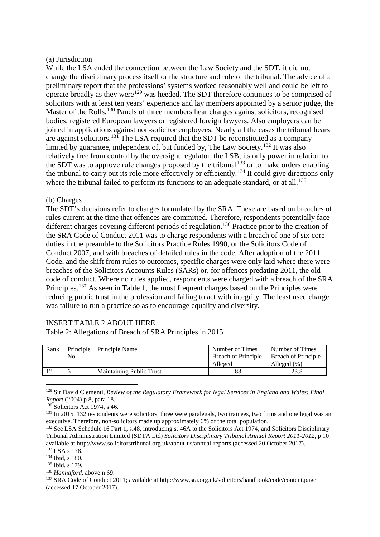# (a) Jurisdiction

While the LSA ended the connection between the Law Society and the SDT, it did not change the disciplinary process itself or the structure and role of the tribunal. The advice of a preliminary report that the professions' systems worked reasonably well and could be left to operate broadly as they were<sup>[129](#page-16-0)</sup> was heeded. The SDT therefore continues to be comprised of solicitors with at least ten years' experience and lay members appointed by a senior judge, the Master of the Rolls.<sup>[130](#page-16-1)</sup> Panels of three members hear charges against solicitors, recognised bodies, registered European lawyers or registered foreign lawyers. Also employers can be joined in applications against non-solicitor employees. Nearly all the cases the tribunal hears are against solicitors.[131](#page-16-2) The LSA required that the SDT be reconstituted as a company limited by guarantee, independent of, but funded by, The Law Society.[132](#page-16-3) It was also relatively free from control by the oversight regulator, the LSB; its only power in relation to the SDT was to approve rule changes proposed by the tribunal<sup>[133](#page-16-4)</sup> or to make orders enabling the tribunal to carry out its role more effectively or efficiently.<sup>[134](#page-16-5)</sup> It could give directions only where the tribunal failed to perform its functions to an adequate standard, or at all.<sup>[135](#page-16-6)</sup>

### (b) Charges

The SDT's decisions refer to charges formulated by the SRA. These are based on breaches of rules current at the time that offences are committed. Therefore, respondents potentially face different charges covering different periods of regulation.<sup>[136](#page-16-7)</sup> Practice prior to the creation of the SRA Code of Conduct 2011 was to charge respondents with a breach of one of six core duties in the preamble to the Solicitors Practice Rules 1990, or the Solicitors Code of Conduct 2007, and with breaches of detailed rules in the code. After adoption of the 2011 Code, and the shift from rules to outcomes, specific charges were only laid where there were breaches of the Solicitors Accounts Rules (SARs) or, for offences predating 2011, the old code of conduct. Where no rules applied, respondents were charged with a breach of the SRA Principles.<sup>[137](#page-16-8)</sup> As seen in Table 1, the most frequent charges based on the Principles were reducing public trust in the profession and failing to act with integrity. The least used charge was failure to run a practice so as to encourage equality and diversity.

# INSERT TABLE 2 ABOUT HERE

Table 2: Allegations of Breach of SRA Principles in 2015

| Rank            |     | Principle   Principle Name | Number of Times            | Number of Times            |
|-----------------|-----|----------------------------|----------------------------|----------------------------|
|                 | No. |                            | <b>Breach of Principle</b> | <b>Breach of Principle</b> |
|                 |     |                            | Alleged                    | Alleged $(\% )$            |
| 1 <sub>st</sub> |     | Maintaining Public Trust   |                            |                            |

<span id="page-16-0"></span> 129 Sir David Clementi, *Review of the Regulatory Framework for legal Services in England and Wales: Final Report* (2004) p 8, para 18.

<span id="page-16-1"></span><sup>130</sup> Solicitors Act 1974, s 46.

<span id="page-16-2"></span><sup>&</sup>lt;sup>131</sup> In 2015, 132 respondents were solicitors, three were paralegals, two trainees, two firms and one legal was an executive. Therefore, non-solicitors made up approximately 6% of the total population.

<span id="page-16-3"></span><sup>&</sup>lt;sup>132</sup> See LSA Schedule 16 Part 1, s.48, introducing s. 46A to the Solicitors Act 1974, and Solicitors Disciplinary Tribunal Administration Limited (SDTA Ltd) *Solicitors Disciplinary Tribunal Annual Report 2011-2012*, p 10; available at http://www.solicitorstribunal.org.uk/about-us/annual-reports (accessed 20 October 2017). 133 LSA s 178.

<span id="page-16-5"></span><span id="page-16-4"></span><sup>134</sup> Ibid, s 180.

<span id="page-16-6"></span> $^{135}$  Ibid, s 179.<br> $^{136}$  Hannaford, above n 69.

<span id="page-16-8"></span><span id="page-16-7"></span><sup>&</sup>lt;sup>137</sup> SRA Code of Conduct 2011; available a[t http://www.sra.org.uk/solicitors/handbook/code/content.page](http://www.sra.org.uk/solicitors/handbook/code/content.page) (accessed 17 October 2017).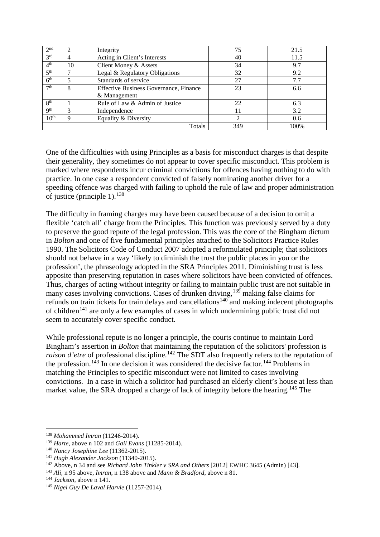| 2 <sub>nd</sub>  |    | Integrity                                     | 75  | 21.5 |
|------------------|----|-----------------------------------------------|-----|------|
| 3 <sup>rd</sup>  |    | Acting in Client's Interests                  | 40  | 11.5 |
| 4 <sup>th</sup>  | 10 | Client Money & Assets                         | 34  | 9.7  |
| 5 <sup>th</sup>  |    | Legal & Regulatory Obligations                | 32  | 9.2  |
| 6 <sup>th</sup>  |    | Standards of service                          | 27  | 7.7  |
| 7 <sup>th</sup>  | 8  | <b>Effective Business Governance, Finance</b> | 23  | 6.6  |
|                  |    | & Management                                  |     |      |
| 8 <sup>th</sup>  |    | Rule of Law & Admin of Justice                | 22  | 6.3  |
| Q <sup>th</sup>  |    | Independence                                  |     | 3.2  |
| 10 <sup>th</sup> |    | Equality & Diversity                          | ◠   | 0.6  |
|                  |    | <b>Totals</b>                                 | 349 | 100% |

One of the difficulties with using Principles as a basis for misconduct charges is that despite their generality, they sometimes do not appear to cover specific misconduct. This problem is marked where respondents incur criminal convictions for offences having nothing to do with practice. In one case a respondent convicted of falsely nominating another driver for a speeding offence was charged with failing to uphold the rule of law and proper administration of justice (principle 1).  $138$ 

The difficulty in framing charges may have been caused because of a decision to omit a flexible 'catch all' charge from the Principles. This function was previously served by a duty to preserve the good repute of the legal profession. This was the core of the Bingham dictum in *Bolton* and one of five fundamental principles attached to the Solicitors Practice Rules 1990. The Solicitors Code of Conduct 2007 adopted a reformulated principle; that solicitors should not behave in a way 'likely to diminish the trust the public places in you or the profession', the phraseology adopted in the SRA Principles 2011. Diminishing trust is less apposite than preserving reputation in cases where solicitors have been convicted of offences. Thus, charges of acting without integrity or failing to maintain public trust are not suitable in many cases involving convictions. Cases of drunken driving,<sup>[139](#page-17-1)</sup> making false claims for refunds on train tickets for train delays and cancellations<sup>[140](#page-17-2)</sup> and making indecent photographs of children<sup>[141](#page-17-3)</sup> are only a few examples of cases in which undermining public trust did not seem to accurately cover specific conduct.

While professional repute is no longer a principle, the courts continue to maintain Lord Bingham's assertion in *Bolton* that maintaining the reputation of the solicitors' profession is raison d'etre of professional discipline.<sup>[142](#page-17-4)</sup> The SDT also frequently refers to the reputation of the profession.<sup>[143](#page-17-5)</sup> In one decision it was considered the decisive factor.<sup>[144](#page-17-6)</sup> Problems in matching the Principles to specific misconduct were not limited to cases involving convictions. In a case in which a solicitor had purchased an elderly client's house at less than market value, the SRA dropped a charge of lack of integrity before the hearing.<sup>[145](#page-17-7)</sup> The

<span id="page-17-0"></span><sup>&</sup>lt;sup>138</sup> Mohammed Imran (11246-2014).<br><sup>139</sup> Harte, above n 102 and *Gail Evans* (11285-2014).

<span id="page-17-3"></span><span id="page-17-2"></span><span id="page-17-1"></span><sup>&</sup>lt;sup>140</sup> Nancy Josephine Lee (11362-2015).<br><sup>141</sup> Hugh Alexander Jackson (11340-2015).<br><sup>142</sup> Above, n 34 and see *Richard John Tinkler v SRA and Others* [2012] EWHC 3645 (Admin) [43].

<span id="page-17-5"></span><span id="page-17-4"></span><sup>143</sup> *Ali,* n 95 above, *Imran*, n 138 above and *Mann & Bradford*, above n 81.

<span id="page-17-6"></span><sup>144</sup> *Jackson,* above n 141.

<span id="page-17-7"></span><sup>145</sup> *Nigel Guy De Laval Harvie* (11257-2014).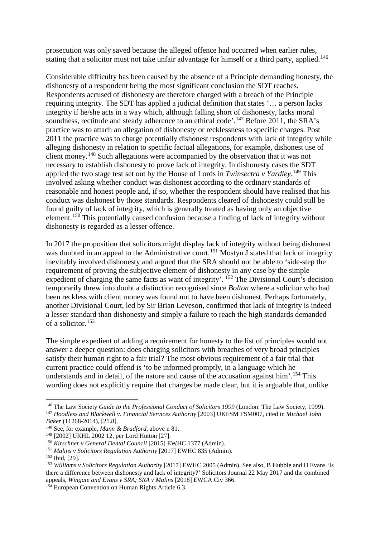prosecution was only saved because the alleged offence had occurred when earlier rules, stating that a solicitor must not take unfair advantage for himself or a third party, applied.<sup>[146](#page-18-0)</sup>

Considerable difficulty has been caused by the absence of a Principle demanding honesty, the dishonesty of a respondent being the most significant conclusion the SDT reaches. Respondents accused of dishonesty are therefore charged with a breach of the Principle requiring integrity. The SDT has applied a judicial definition that states '… a person lacks integrity if he/she acts in a way which, although falling short of dishonesty, lacks moral soundness, rectitude and steady adherence to an ethical code'.<sup>[147](#page-18-1)</sup> Before 2011, the SRA's practice was to attach an allegation of dishonesty or recklessness to specific charges. Post 2011 the practice was to charge potentially dishonest respondents with lack of integrity while alleging dishonesty in relation to specific factual allegations, for example, dishonest use of client money.[148](#page-18-2) Such allegations were accompanied by the observation that it was not necessary to establish dishonesty to prove lack of integrity. In dishonesty cases the SDT applied the two stage test set out by the House of Lords in *Twinsectra v Yardley*. [149](#page-18-3) This involved asking whether conduct was dishonest according to the ordinary standards of reasonable and honest people and, if so, whether the respondent should have realised that his conduct was dishonest by those standards. Respondents cleared of dishonesty could still be found guilty of lack of integrity, which is generally treated as having only an objective element.<sup>[150](#page-18-4)</sup> This potentially caused confusion because a finding of lack of integrity without dishonesty is regarded as a lesser offence.

In 2017 the proposition that solicitors might display lack of integrity without being dishonest was doubted in an appeal to the Administrative court.<sup>[151](#page-18-5)</sup> Mostyn J stated that lack of integrity inevitably involved dishonesty and argued that the SRA should not be able to 'side-step the requirement of proving the subjective element of dishonesty in any case by the simple expedient of charging the same facts as want of integrity'. <sup>[152](#page-18-6)</sup> The Divisional Court's decision temporarily threw into doubt a distinction recognised since *Bolton* where a solicitor who had been reckless with client money was found not to have been dishonest. Perhaps fortunately, another Divisional Court, led by Sir Brian Leveson, confirmed that lack of integrity is indeed a lesser standard than dishonesty and simply a failure to reach the high standards demanded of a solicitor. [153](#page-18-7)

The simple expedient of adding a requirement for honesty to the list of principles would not answer a deeper question: does charging solicitors with breaches of very broad principles satisfy their human right to a fair trial? The most obvious requirement of a fair trial that current practice could offend is 'to be informed promptly, in a language which he understands and in detail, of the nature and cause of the accusation against him'.<sup>[154](#page-18-8)</sup> This wording does not explicitly require that charges be made clear, but it is arguable that, unlike

<span id="page-18-1"></span><span id="page-18-0"></span> <sup>146</sup> The Law Society *Guide to the Professional Conduct of Solicitors <sup>1999</sup>*(London: The Law Society, 1999). <sup>147</sup> Hoodless and Blackwell v. Financial Services Authority [2003] UKFSM FSM007, cited in Michael John *Baker* (11268-2014), [21.8]*.*

<span id="page-18-2"></span><sup>&</sup>lt;sup>148</sup> See, for example, *Mann & Bradford*, above n 81.<br><sup>149</sup> [2002] UKHL 2002 12, per Lord Hutton [27].

<span id="page-18-4"></span><span id="page-18-3"></span><sup>&</sup>lt;sup>150</sup> Kirschner v General Dental Council [2015] EWHC 1377 (Admin).

<span id="page-18-5"></span><sup>151</sup> *Malins v Solicitors Regulation Authority* [2017] EWHC 835 (Admin).

<span id="page-18-6"></span><sup>152</sup> Ibid, [29].

<span id="page-18-7"></span><sup>153</sup> *Williams v Solicitors Regulation Authority* [2017] EWHC 2005 (Admin). See also, B Hubble and H Evans 'Is there a difference between dishonesty and lack of integrity?' Solicitors Journal 22 May 2017 and the combined appeals, *Wingate and Evans v SRA; SRA v Malins* [2018] EWCA Civ 366.

<span id="page-18-8"></span> $154$  European Convention on Human Rights Article 6.3.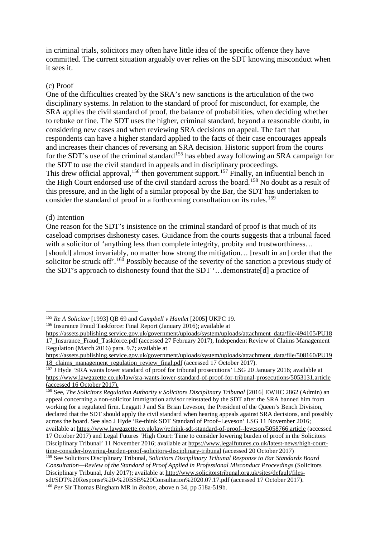in criminal trials, solicitors may often have little idea of the specific offence they have committed. The current situation arguably over relies on the SDT knowing misconduct when it sees it.

### (c) Proof

One of the difficulties created by the SRA's new sanctions is the articulation of the two disciplinary systems. In relation to the standard of proof for misconduct, for example, the SRA applies the civil standard of proof, the balance of probabilities, when deciding whether to rebuke or fine. The SDT uses the higher, criminal standard, beyond a reasonable doubt, in considering new cases and when reviewing SRA decisions on appeal. The fact that respondents can have a higher standard applied to the facts of their case encourages appeals and increases their chances of reversing an SRA decision. Historic support from the courts for the SDT's use of the criminal standard<sup>[155](#page-19-0)</sup> has ebbed away following an SRA campaign for the SDT to use the civil standard in appeals and in disciplinary proceedings. This drew official approval, <sup>[156](#page-19-1)</sup> then government support.<sup>[157](#page-19-2)</sup> Finally, an influential bench in the High Court endorsed use of the civil standard across the board.[158](#page-19-3) No doubt as a result of this pressure, and in the light of a similar proposal by the Bar, the SDT has undertaken to consider the standard of proof in a forthcoming consultation on its rules.<sup>[159](#page-19-4)</sup>

#### (d) Intention

One reason for the SDT's insistence on the criminal standard of proof is that much of its caseload comprises dishonesty cases. Guidance from the courts suggests that a tribunal faced with a solicitor of 'anything less than complete integrity, probity and trustworthiness... [should] almost invariably, no matter how strong the mitigation... [result in an] order that the solicitor be struck off'.<sup>[160](#page-19-5)</sup> Possibly because of the severity of the sanction a previous study of the SDT's approach to dishonesty found that the SDT '…demonstrate[d] a practice of

<span id="page-19-1"></span><sup>156</sup> Insurance Fraud Taskforce: Final Report (January 2016); available at

<span id="page-19-0"></span> <sup>155</sup> *Re A Solicitor* [1993] QB 69 and *Campbell v Hamlet* [2005] UKPC 19.

[https://assets.publishing.service.gov.uk/government/uploads/system/uploads/attachment\\_data/file/494105/PU18](https://assets.publishing.service.gov.uk/government/uploads/system/uploads/attachment_data/file/494105/PU1817_Insurance_Fraud_Taskforce.pdf) 17 Insurance Fraud Taskforce.pdf (accessed 27 February 2017), Independent Review of Claims Management Regulation (March 2016) para. 9.7; available at

[https://assets.publishing.service.gov.uk/government/uploads/system/uploads/attachment\\_data/file/508160/PU19](https://assets.publishing.service.gov.uk/government/uploads/system/uploads/attachment_data/file/508160/PU1918_claims_management_regulation_review_final.pdf) [18\\_claims\\_management\\_regulation\\_review\\_final.pdf](https://assets.publishing.service.gov.uk/government/uploads/system/uploads/attachment_data/file/508160/PU1918_claims_management_regulation_review_final.pdf) (accessed 17 October 2017).

<span id="page-19-2"></span><sup>&</sup>lt;sup>157</sup> J Hyde 'SRA wants lower standard of proof for tribunal prosecutions' LSG 20 January 2016; available at <https://www.lawgazette.co.uk/law/sra-wants-lower-standard-of-proof-for-tribunal-prosecutions/5053131.article> (accessed 16 October 2017).

<span id="page-19-3"></span><sup>158</sup> See, *The Solicitors Regulation Authority v Solicitors Disciplinary Tribunal* [2016] EWHC 2862 (Admin) an appeal concerning a non-solicitor immigration advisor reinstated by the SDT after the SRA banned him from working for a regulated firm. Leggatt J and Sir Brian Leveson, the President of the Queen's Bench Division, declared that the SDT should apply the civil standard when hearing appeals against SRA decisions, and possibly across the board. See also J Hyde 'Re-think SDT Standard of Proof–Leveson' LSG 11 November 2016; available at<https://www.lawgazette.co.uk/law/rethink-sdt-standard-of-proof--leveson/5058766.article> (accessed 17 October 2017) and Legal Futures 'High Court: Time to consider lowering burden of proof in the Solicitors Disciplinary Tribunal' 11 November 2016; available at [https://www.legalfutures.co.uk/latest-news/high-court](https://www.legalfutures.co.uk/latest-news/high-court-time-consider-lowering-burden-proof-solicitors-disciplinary-tribunal)[time-consider-lowering-burden-proof-solicitors-disciplinary-tribunal](https://www.legalfutures.co.uk/latest-news/high-court-time-consider-lowering-burden-proof-solicitors-disciplinary-tribunal) (accessed 20 October 2017)

<span id="page-19-4"></span><sup>159</sup> See Solicitors Disciplinary Tribunal, *Solicitors Disciplinary Tribunal Response to Bar Standards Board Consultation—Review of the Standard of Proof Applied in Professional Misconduct Proceedings* (Solicitors Disciplinary Tribunal, July 2017); available at [http://www.solicitorstribunal.org.uk/sites/default/files](http://www.solicitorstribunal.org.uk/sites/default/files-sdt/SDT%20Response%20-%20BSB%20Consultation%2020.07.17.pdf)sdt/SDT%20Response%20-%20BSB%20Consultation%2020.07.17.pdf (accessed 17 October 2017). 160 *Per* Sir Thomas Bingham MR in *Bolton*, above n 34, pp 518a-519b.

<span id="page-19-5"></span>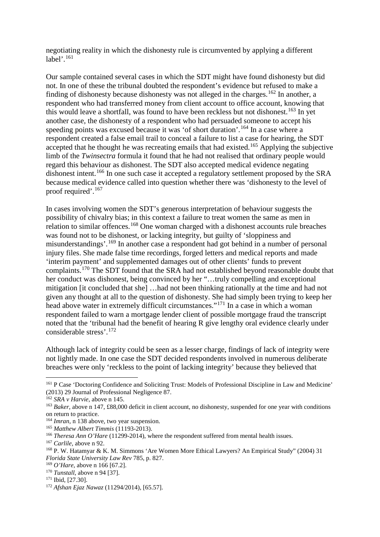negotiating reality in which the dishonesty rule is circumvented by applying a different label' $^{161}$  $^{161}$  $^{161}$ 

Our sample contained several cases in which the SDT might have found dishonesty but did not. In one of these the tribunal doubted the respondent's evidence but refused to make a finding of dishonesty because dishonesty was not alleged in the charges.<sup>[162](#page-20-1)</sup> In another, a respondent who had transferred money from client account to office account, knowing that this would leave a shortfall, was found to have been reckless but not dishonest.<sup>[163](#page-20-2)</sup> In yet another case, the dishonesty of a respondent who had persuaded someone to accept his speeding points was excused because it was 'of short duration'.<sup>[164](#page-20-3)</sup> In a case where a respondent created a false email trail to conceal a failure to list a case for hearing, the SDT accepted that he thought he was recreating emails that had existed.<sup>[165](#page-20-4)</sup> Applying the subjective limb of the *Twinsectra* formula it found that he had not realised that ordinary people would regard this behaviour as dishonest. The SDT also accepted medical evidence negating dishonest intent.<sup>[166](#page-20-5)</sup> In one such case it accepted a regulatory settlement proposed by the SRA because medical evidence called into question whether there was 'dishonesty to the level of proof required'.[167](#page-20-6) 

In cases involving women the SDT's generous interpretation of behaviour suggests the possibility of chivalry bias; in this context a failure to treat women the same as men in relation to similar offences.<sup>[168](#page-20-7)</sup> One woman charged with a dishonest accounts rule breaches was found not to be dishonest, or lacking integrity, but guilty of 'sloppiness and misunderstandings'.[169](#page-20-8) In another case a respondent had got behind in a number of personal injury files. She made false time recordings, forged letters and medical reports and made 'interim payment' and supplemented damages out of other clients' funds to prevent complaints.[170](#page-20-9) The SDT found that the SRA had not established beyond reasonable doubt that her conduct was dishonest, being convinced by her "…truly compelling and exceptional mitigation [it concluded that she] …had not been thinking rationally at the time and had not given any thought at all to the question of dishonesty. She had simply been trying to keep her head above water in extremely difficult circumstances."<sup>[171](#page-20-10)</sup> In a case in which a woman respondent failed to warn a mortgage lender client of possible mortgage fraud the transcript noted that the 'tribunal had the benefit of hearing R give lengthy oral evidence clearly under considerable stress'.[172](#page-20-11)

Although lack of integrity could be seen as a lesser charge, findings of lack of integrity were not lightly made. In one case the SDT decided respondents involved in numerous deliberate breaches were only 'reckless to the point of lacking integrity' because they believed that

<span id="page-20-0"></span> <sup>161</sup> P Case 'Doctoring Confidence and Soliciting Trust: Models of Professional Discipline in Law and Medicine' (2013) 29 Journal of Professional Negligence 87.

<span id="page-20-2"></span><span id="page-20-1"></span><sup>&</sup>lt;sup>162</sup> *SRA v Harvie*, above n 145.<br><sup>163</sup> *Baker*, above n 147, £88,000 deficit in client account, no dishonesty, suspended for one year with conditions on return to practice.

<span id="page-20-3"></span><sup>164</sup> *Imran*, n 138 above, two year suspension.

<span id="page-20-4"></span><sup>165</sup> *Matthew Albert Timmis* (11193-2013).

<span id="page-20-5"></span><sup>&</sup>lt;sup>166</sup> *Theresa Ann O'Hare* (11299-2014), where the respondent suffered from mental health issues.

<span id="page-20-6"></span><sup>167</sup> *Carlile,* above n 92.

<span id="page-20-7"></span><sup>168</sup> P. W. Hatamyar & K. M. Simmons 'Are Women More Ethical Lawyers? An Empirical Study" (2004) 31 *Florida State University Law Rev* 785, p. 827.

<span id="page-20-11"></span>

<span id="page-20-10"></span><span id="page-20-9"></span><span id="page-20-8"></span><sup>&</sup>lt;sup>170</sup> *Tunstall*, above n 94 [37].<br><sup>171</sup> Ibid, [27.30].<br><sup>172</sup> *Afshan Ejaz Nawaz* (11294/2014), [65.57].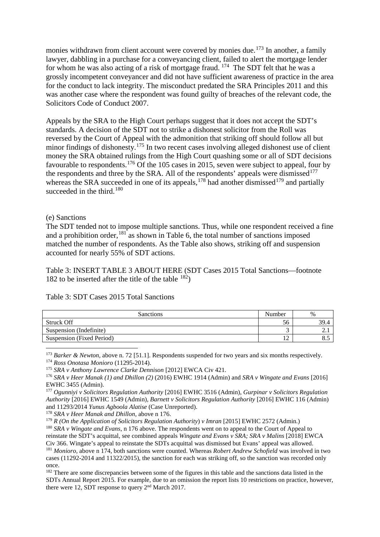monies withdrawn from client account were covered by monies due.<sup>[173](#page-21-0)</sup> In another, a family lawyer, dabbling in a purchase for a conveyancing client, failed to alert the mortgage lender for whom he was also acting of a risk of mortgage fraud. [174](#page-21-1) The SDT felt that he was a grossly incompetent conveyancer and did not have sufficient awareness of practice in the area for the conduct to lack integrity. The misconduct predated the SRA Principles 2011 and this was another case where the respondent was found guilty of breaches of the relevant code, the Solicitors Code of Conduct 2007.

Appeals by the SRA to the High Court perhaps suggest that it does not accept the SDT's standards. A decision of the SDT not to strike a dishonest solicitor from the Roll was reversed by the Court of Appeal with the admonition that striking off should follow all but minor findings of dishonesty.<sup>[175](#page-21-2)</sup> In two recent cases involving alleged dishonest use of client money the SRA obtained rulings from the High Court quashing some or all of SDT decisions favourable to respondents.<sup>[176](#page-21-3)</sup> Of the 105 cases in 2015, seven were subject to appeal, four by the respondents and three by the SRA. All of the respondents' appeals were dismissed $177$ whereas the SRA succeeded in one of its appeals,  $178^{\circ}$  $178^{\circ}$  had another dismissed  $179^{\circ}$  $179^{\circ}$  and partially succeeded in the third. $180$ 

#### (e) Sanctions

The SDT tended not to impose multiple sanctions. Thus, while one respondent received a fine and a prohibition order, <sup>[181](#page-21-8)</sup> as shown in Table 6, the total number of sanctions imposed matched the number of respondents. As the Table also shows, striking off and suspension accounted for nearly 55% of SDT actions.

Table 3: INSERT TABLE 3 ABOUT HERE (SDT Cases 2015 Total Sanctions—footnote 182 to be inserted after the title of the table  $^{182}$ )

|  |  | Table 3: SDT Cases 2015 Total Sanctions |  |
|--|--|-----------------------------------------|--|
|--|--|-----------------------------------------|--|

| <b>Sanctions</b>          | Number   | $\frac{0}{6}$ |
|---------------------------|----------|---------------|
| Struck Off                | 56       | 39.4          |
| Suspension (Indefinite)   |          | ∠.            |
| Suspension (Fixed Period) | $1 \cap$ | o. J          |

173 *Barker & Newton*, above n. 72 [51.1]. Respondents suspended for two years and six months respectively.

<span id="page-21-1"></span><span id="page-21-0"></span><sup>174</sup> *Ross Onotasa Monioro* (11295-2014).

<span id="page-21-5"></span><sup>178</sup> *SRA v Heer Manak and Dhillon,* above n 176.

<span id="page-21-6"></span><sup>179</sup> *R (On the Application of Solicitors Regulation Authority*) *v Imran* [2015] EWHC 2572 (Admin.)

<span id="page-21-7"></span><sup>180</sup> *SRA v Wingate and Evans*, n 176 above. The respondents went on to appeal to the Court of Appeal to reinstate the SDT's acquittal, see combined appeals *Wingate and Evans v SRA; SRA v Malins* [2018] EWCA Civ 366. Wingate's appeal to reinstate the SDTs acquittal was dismissed but Evans' appeal was allowed.

<span id="page-21-9"></span><sup>182</sup> There are some discrepancies between some of the figures in this table and the sanctions data listed in the SDTs Annual Report 2015. For example, due to an omission the report lists 10 restrictions on practice, however, there were 12, SDT response to query  $2<sup>nd</sup>$  March 2017.

<span id="page-21-2"></span><sup>175</sup> *SRA v Anthony Lawrence Clarke Dennison* [2012] EWCA Civ 421.

<span id="page-21-3"></span><sup>176</sup> *SRA v Heer Manak (1) and Dhillon (2)* (2016) EWHC 1914 (Admin) and *SRA v Wingate and Evans* [2016] EWHC 3455 (Admin).

<span id="page-21-4"></span><sup>177</sup> *Ogunniyi v Solicitors Regulation Authority* [2016] EWHC 3516 (Admin), *Gurpinar v Solicitors Regulation Authority* [2016] EWHC 1549 (Admin)*, Barnett v Solicitors Regulation Authority* [2016] EWHC 116 (Admin) and 11293/2014 *Yunus Agboola Alatise* (Case Unreported).

<span id="page-21-8"></span><sup>181</sup> *Monioro*, above n 174, both sanctions were counted. Whereas *Robert Andrew Schofield* was involved in two cases (11292-2014 and 11322/2015), the sanction for each was striking off, so the sanction was recorded only once.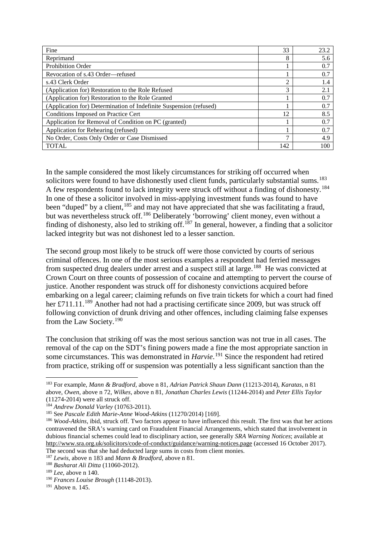| Fine                                                               | 33  | 23.2 |
|--------------------------------------------------------------------|-----|------|
| Reprimand                                                          | 8   | 5.6  |
| <b>Prohibition Order</b>                                           |     | 0.7  |
| Revocation of s.43 Order—refused                                   |     | 0.7  |
| s.43 Clerk Order                                                   | 2   | 1.4  |
| (Application for) Restoration to the Role Refused                  | 3   | 2.1  |
| (Application for) Restoration to the Role Granted                  |     | 0.7  |
| (Application for) Determination of Indefinite Suspension (refused) |     | 0.7  |
| Conditions Imposed on Practice Cert                                |     | 8.5  |
| Application for Removal of Condition on PC (granted)               |     | 0.7  |
| Application for Rehearing (refused)                                |     | 0.7  |
| No Order, Costs Only Order or Case Dismissed                       |     | 4.9  |
| <b>TOTAL</b>                                                       | 142 | 100  |

In the sample considered the most likely circumstances for striking off occurred when solicitors were found to have dishonestly used client funds, particularly substantial sums.<sup>[183](#page-22-0)</sup> A few respondents found to lack integrity were struck off without a finding of dishonesty.[184](#page-22-1) In one of these a solicitor involved in miss-applying investment funds was found to have been "duped" by a client, <sup>[185](#page-22-2)</sup> and may not have appreciated that she was facilitating a fraud, but was nevertheless struck off.<sup>[186](#page-22-3)</sup> Deliberately 'borrowing' client money, even without a finding of dishonesty, also led to striking off.<sup>[187](#page-22-4)</sup> In general, however, a finding that a solicitor lacked integrity but was not dishonest led to a lesser sanction.

The second group most likely to be struck off were those convicted by courts of serious criminal offences. In one of the most serious examples a respondent had ferried messages from suspected drug dealers under arrest and a suspect still at large.<sup>[188](#page-22-5)</sup> He was convicted at Crown Court on three counts of possession of cocaine and attempting to pervert the course of justice. Another respondent was struck off for dishonesty convictions acquired before embarking on a legal career; claiming refunds on five train tickets for which a court had fined her £711.11.<sup>[189](#page-22-6)</sup> Another had not had a practising certificate since 2009, but was struck off following conviction of drunk driving and other offences, including claiming false expenses from the Law Society.[190](#page-22-7)

The conclusion that striking off was the most serious sanction was not true in all cases. The removal of the cap on the SDT's fining powers made a fine the most appropriate sanction in some circumstances. This was demonstrated in *Harvie*. [191](#page-22-8) Since the respondent had retired from practice, striking off or suspension was potentially a less significant sanction than the

<span id="page-22-0"></span> <sup>183</sup> For example, *Mann & Bradford,* above n 81, *Adrian Patrick Shaun Dann* (11213-2014), *Karatas,* n 81 above, *Owen,* above n 72, *Wilkes,* above n 81, *Jonathan Charles Lewis* (11244-2014) and *Peter Ellis Taylor* (11274-2014) were all struck off.

<span id="page-22-1"></span><sup>&</sup>lt;sup>184</sup> *Andrew Donald Varley* (10763-2011).<br><sup>185</sup> See *Pascale Edith Marie-Anne Wood-Atkins* (11270/2014) [169].

<span id="page-22-3"></span><span id="page-22-2"></span><sup>&</sup>lt;sup>186</sup> Wood-Atkins, ibid, struck off. Two factors appear to have influenced this result. The first was that her actions contravened the SRA's warning card on Fraudulent Financial Arrangements, which stated that involvement in dubious financial schemes could lead to disciplinary action, see generally *SRA Warning Notices*; available at http:/[/www.sra.org.uk/solicitors/code-of-conduct/guidance/warning-notices.page](http://www.sra.org.uk/solicitors/code-of-conduct/guidance/warning-notices.page) (accessed 16 October 2017). The second was that she had deducted large sums in costs from client monies.

<span id="page-22-4"></span><sup>187</sup> *Lewis*, above n 183 and *Mann & Bradford*, above n 81.

<span id="page-22-5"></span><sup>&</sup>lt;sup>188</sup> *Basharat Ali Ditta* (11060-2012).<br><sup>189</sup> *Lee*, above n 140.

<span id="page-22-7"></span><span id="page-22-6"></span><sup>&</sup>lt;sup>190</sup> *Frances Louise Brough* (11148-2013).

<span id="page-22-8"></span> $191$  Above n. 145.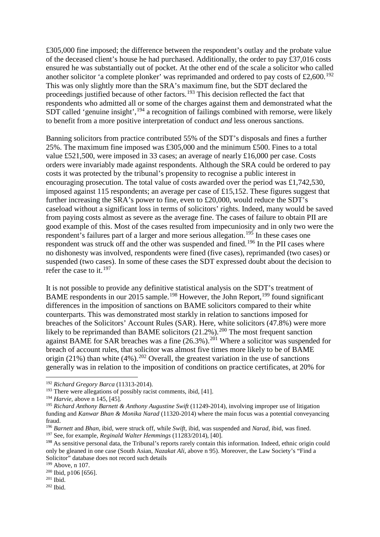£305,000 fine imposed; the difference between the respondent's outlay and the probate value of the deceased client's house he had purchased. Additionally, the order to pay £37,016 costs ensured he was substantially out of pocket. At the other end of the scale a solicitor who called another solicitor 'a complete plonker' was reprimanded and ordered to pay costs of  $\text{\pounds}2,600$ .<sup>[192](#page-23-0)</sup> This was only slightly more than the SRA's maximum fine, but the SDT declared the proceedings justified because of other factors.[193](#page-23-1) This decision reflected the fact that respondents who admitted all or some of the charges against them and demonstrated what the  $SDT$  called 'genuine insight',  $^{194}$  $^{194}$  $^{194}$  a recognition of failings combined with remorse, were likely to benefit from a more positive interpretation of conduct *and* less onerous sanctions.

Banning solicitors from practice contributed 55% of the SDT's disposals and fines a further 25%. The maximum fine imposed was £305,000 and the minimum £500. Fines to a total value £521,500, were imposed in 33 cases; an average of nearly £16,000 per case. Costs orders were invariably made against respondents. Although the SRA could be ordered to pay costs it was protected by the tribunal's propensity to recognise a public interest in encouraging prosecution. The total value of costs awarded over the period was £1,742,530, imposed against 115 respondents; an average per case of £15,152. These figures suggest that further increasing the SRA's power to fine, even to £20,000, would reduce the SDT's caseload without a significant loss in terms of solicitors' rights. Indeed, many would be saved from paying costs almost as severe as the average fine. The cases of failure to obtain PII are good example of this. Most of the cases resulted from impecuniosity and in only two were the respondent's failures part of a larger and more serious allegation.<sup>[195](#page-23-3)</sup> In these cases one respondent was struck off and the other was suspended and fined.<sup>[196](#page-23-4)</sup> In the PII cases where no dishonesty was involved, respondents were fined (five cases), reprimanded (two cases) or suspended (two cases). In some of these cases the SDT expressed doubt about the decision to refer the case to it.  $197$ 

It is not possible to provide any definitive statistical analysis on the SDT's treatment of BAME respondents in our 2015 sample.<sup>[198](#page-23-6)</sup> However, the John Report,<sup>[199](#page-23-7)</sup> found significant differences in the imposition of sanctions on BAME solicitors compared to their white counterparts. This was demonstrated most starkly in relation to sanctions imposed for breaches of the Solicitors' Account Rules (SAR). Here, white solicitors (47.8%) were more likely to be reprimanded than BAME solicitors  $(21.2\%)$ .<sup>[200](#page-23-8)</sup> The most frequent sanction against BAME for SAR breaches was a fine  $(26.3\%)$ .<sup>[201](#page-23-9)</sup> Where a solicitor was suspended for breach of account rules, that solicitor was almost five times more likely to be of BAME origin (21%) than white  $(4\%)$ .<sup>[202](#page-23-10)</sup> Overall, the greatest variation in the use of sanctions generally was in relation to the imposition of conditions on practice certificates, at 20% for

<span id="page-23-0"></span> <sup>192</sup> *Richard Gregory Barca* (11313-2014).

<span id="page-23-1"></span> $193$  There were allegations of possibly racist comments, ibid, [41].

<span id="page-23-2"></span><sup>194</sup> *Harvie,* above n 145, [45].

<span id="page-23-3"></span><sup>195</sup> *Richard Anthony Barnett & Anthony Augustine Swift* (11249-2014), involving improper use of litigation funding and *Kanwar Bhan & Monika Narad* (11320-2014) where the main focus was a potential conveyancing fraud.

<span id="page-23-4"></span><sup>196</sup> *Barnett* and *Bhan,* ibid, were struck off, while *Swift,* ibid, was suspended and *Narad,* ibid, was fined. <sup>197</sup> See, for example, *Reginald Walter Hemmings* (11283/2014), [40].

<span id="page-23-6"></span><span id="page-23-5"></span><sup>198</sup> As sensitive personal data, the Tribunal's reports rarely contain this information. Indeed, ethnic origin could only be gleaned in one case (South Asian, *Nazakat Ali*, above n 95). Moreover, the Law Society's "Find a Solicitor" database does not record such details

<span id="page-23-7"></span><sup>199</sup> Above, n 107.

<span id="page-23-8"></span> $^{200}$  Ibid, p106 [656].<br> $^{201}$  Ibid.

<span id="page-23-9"></span>

<span id="page-23-10"></span> $202$  Ibid.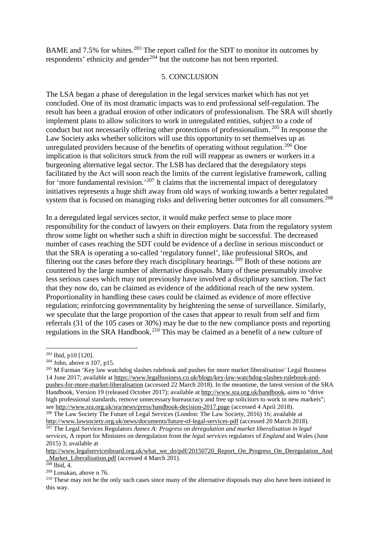BAME and 7.5% for whites.<sup>[203](#page-24-0)</sup> The report called for the SDT to monitor its outcomes by respondents' ethnicity and gender<sup>[204](#page-24-1)</sup> but the outcome has not been reported.

# 5. CONCLUSION

The LSA began a phase of deregulation in the legal services market which has not yet concluded. One of its most dramatic impacts was to end professional self-regulation. The result has been a gradual erosion of other indicators of professionalism. The SRA will shortly implement plans to allow solicitors to work in unregulated entities, subject to a code of conduct but not necessarily offering other protections of professionalism. [205](#page-24-2) In response the Law Society asks whether solicitors will use this opportunity to set themselves up as unregulated providers because of the benefits of operating without regulation.<sup>[206](#page-24-3)</sup> One implication is that solicitors struck from the roll will reappear as owners or workers in a burgeoning alternative legal sector. The LSB has declared that the deregulatory steps facilitated by the Act will soon reach the limits of the current legislative framework, calling for 'more fundamental revision.'<sup>[207](#page-24-4)</sup> It claims that the incremental impact of deregulatory initiatives represents a huge shift away from old ways of working towards a better regulated system that is focused on managing risks and delivering better outcomes for all consumers.<sup>[208](#page-24-5)</sup>

In a deregulated legal services sector, it would make perfect sense to place more responsibility for the conduct of lawyers on their employers. Data from the regulatory system throw some light on whether such a shift in direction might be successful. The decreased number of cases reaching the SDT could be evidence of a decline in serious misconduct or that the SRA is operating a so-called 'regulatory funnel', like professional SROs, and filtering out the cases before they reach disciplinary hearings.<sup>[209](#page-24-6)</sup> Both of these notions are countered by the large number of alternative disposals. Many of these presumably involve less serious cases which may not previously have involved a disciplinary sanction. The fact that they now do, can be claimed as evidence of the additional reach of the new system. Proportionality in handling these cases could be claimed as evidence of more effective regulation; reinforcing governmentality by heightening the sense of surveillance. Similarly, we speculate that the large proportion of the cases that appear to result from self and firm referrals (31 of the 105 cases or 30%) may be due to the new compliance posts and reporting regulations in the SRA Handbook.<sup>[210](#page-24-7)</sup> This may be claimed as a benefit of a new culture of

<span id="page-24-0"></span> $\frac{203}{204}$  Ibid, p10 [120].<br> $\frac{204}{204}$  John, above n 107, p15.

<span id="page-24-2"></span><span id="page-24-1"></span><sup>&</sup>lt;sup>205</sup> M Farman 'Key law watchdog slashes rulebook and pushes for more market liberalisation' Legal Business 14 June 2017; available at [https://www.legalbusiness.co.uk/blogs/key-law-watchdog-slashes-rulebook-and](https://www.legalbusiness.co.uk/blogs/key-law-watchdog-slashes-rulebook-and-pushes-for-more-market-liberalisation)[pushes-for-more-market-liberalisation](https://www.legalbusiness.co.uk/blogs/key-law-watchdog-slashes-rulebook-and-pushes-for-more-market-liberalisation) (accessed 22 March 2018). In the meantime, the latest version of the SRA Handbook, Version 19 (released October 2017); available at [http://www.sra.org.uk/handbook,](http://www.sra.org.uk/handbook) aims to "drive high professional standards, remove unnecessary bureaucracy and free up solicitors to work in new markets"; see<http://www.sra.org.uk/sra/news/press/handbook-decision-2017.page> (accessed 4 April 2018).

<span id="page-24-3"></span><sup>206</sup> The Law Society The Future of Legal Services (London: The Law Society, 2016) 16; available at http:/[/www.lawsociety.org.uk/news/documents/future-of-legal-services-pdf](http://www.lawsociety.org.uk/news/documents/future-of-legal-services-pdf) (accessed 20 March 2018).

<span id="page-24-4"></span><sup>207</sup> The Legal Services Regulators *Annex A: Progress on deregulation and market liberalisation in legal services,* A report for Ministers on deregulation from the *legal services* regulators of *England* and Wales (June 2015) 3; available at

[http://www.legalservicesboard.org.uk/what\\_we\\_do/pdf/20150720\\_Report\\_On\\_Progress\\_On\\_Deregulation\\_And](http://www.legalservicesboard.org.uk/what_we_do/pdf/20150720_Report_On_Progress_On_Deregulation_And_Market_Liberalisation.pdf) Market Liberalisation.pdf (accessed 4 March 201).

<span id="page-24-5"></span> $208$  Ibid, 4.

<span id="page-24-6"></span><sup>209</sup> Lonakan, above n 76.

<span id="page-24-7"></span><sup>&</sup>lt;sup>210</sup> These may not be the only such cases since many of the alternative disposals may also have been initiated in this way.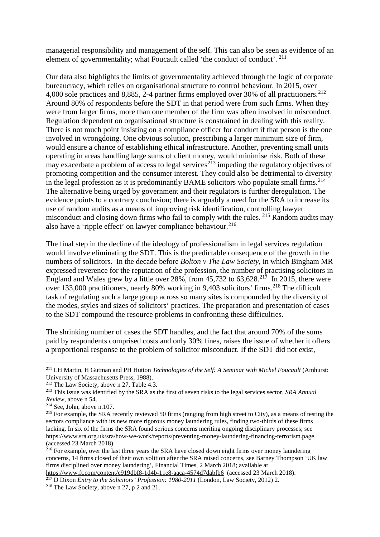managerial responsibility and management of the self. This can also be seen as evidence of an element of governmentality; what Foucault called 'the conduct of conduct'. <sup>[211](#page-25-0)</sup>

Our data also highlights the limits of governmentality achieved through the logic of corporate bureaucracy, which relies on organisational structure to control behaviour. In 2015, over 4,000 sole practices and 8,885, 2-4 partner firms employed over 30% of all practitioners.<sup>[212](#page-25-1)</sup> Around 80% of respondents before the SDT in that period were from such firms. When they were from larger firms, more than one member of the firm was often involved in misconduct. Regulation dependent on organisational structure is constrained in dealing with this reality. There is not much point insisting on a compliance officer for conduct if that person is the one involved in wrongdoing. One obvious solution, prescribing a larger minimum size of firm, would ensure a chance of establishing ethical infrastructure. Another, preventing small units operating in areas handling large sums of client money, would minimise risk. Both of these may exacerbate a problem of access to legal services<sup> $213$ </sup> impeding the regulatory objectives of promoting competition and the consumer interest. They could also be detrimental to diversity in the legal profession as it is predominantly BAME solicitors who populate small firms.<sup>[214](#page-25-3)</sup> The alternative being urged by government and their regulators is further deregulation. The evidence points to a contrary conclusion; there is arguably a need for the SRA to increase its use of random audits as a means of improving risk identification, controlling lawyer misconduct and closing down firms who fail to comply with the rules. [215](#page-25-4) Random audits may also have a 'ripple effect' on lawyer compliance behaviour.<sup>[216](#page-25-5)</sup>

The final step in the decline of the ideology of professionalism in legal services regulation would involve eliminating the SDT. This is the predictable consequence of the growth in the numbers of solicitors. In the decade before *Bolton v The Law Society*, in which Bingham MR expressed reverence for the reputation of the profession, the number of practising solicitors in England and Wales grew by a little over 28%, from  $45,732$  to  $63,628$ <sup>[217](#page-25-6)</sup> In 2015, there were over 133,000 practitioners, nearly 80% working in 9,403 solicitors' firms.<sup>[218](#page-25-7)</sup> The difficult task of regulating such a large group across so many sites is compounded by the diversity of the modes, styles and sizes of solicitors' practices. The preparation and presentation of cases to the SDT compound the resource problems in confronting these difficulties.

The shrinking number of cases the SDT handles, and the fact that around 70% of the sums paid by respondents comprised costs and only 30% fines, raises the issue of whether it offers a proportional response to the problem of solicitor misconduct. If the SDT did not exist,

<span id="page-25-0"></span> <sup>211</sup> LH Martin, H Gutman and PH Hutton *Technologies of the Self: A Seminar with Michel Foucault* (Amhurst: University of Massachusetts Press, 1988).

<span id="page-25-1"></span><sup>&</sup>lt;sup>212</sup> The Law Society, above n 27, Table 4.3.

<span id="page-25-2"></span><sup>213</sup> This issue was identified by the SRA as the first of seven risks to the legal services sector, *SRA Annual Review*, above n 54.

<span id="page-25-3"></span><sup>214</sup> See, John, above n.107.

<span id="page-25-4"></span><sup>&</sup>lt;sup>215</sup> For example, the SRA recently reviewed 50 firms (ranging from high street to City), as a means of testing the sectors compliance with its new more rigorous money laundering rules, finding two-thirds of these firms lacking. In six of the firms the SRA found serious concerns meriting ongoing disciplinary processes; see <https://www.sra.org.uk/sra/how-we-work/reports/preventing-money-laundering-financing-terrorism.page> (accessed 23 March 2018).

<span id="page-25-5"></span><sup>&</sup>lt;sup>216</sup> For example, over the last three years the SRA have closed down eight firms over money laundering concerns, 14 firms closed of their own volition after the SRA raised concerns, see Barney Thompson 'UK law firms disciplined over money laundering', Financial Times, 2 March 2018; available at <https://www.ft.com/content/c919dbf8-1d4b-11e8-aaca-4574d7dabfb6>(accessed 23 March 2018).

<span id="page-25-6"></span><sup>217</sup> D Dixon *Entry to the Solicitors' Profession: 1980-2011* (London, Law Society, 2012) 2. 218 The Law Society, above n 27, p 2 and 21.

<span id="page-25-7"></span>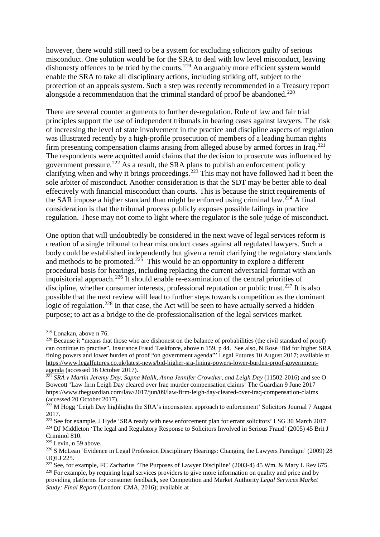however, there would still need to be a system for excluding solicitors guilty of serious misconduct. One solution would be for the SRA to deal with low level misconduct, leaving dishonesty offences to be tried by the courts.<sup>[219](#page-26-0)</sup> An arguably more efficient system would enable the SRA to take all disciplinary actions, including striking off, subject to the protection of an appeals system. Such a step was recently recommended in a Treasury report alongside a recommendation that the criminal standard of proof be abandoned.<sup>[220](#page-26-1)</sup>

There are several counter arguments to further de-regulation. Rule of law and fair trial principles support the use of independent tribunals in hearing cases against lawyers. The risk of increasing the level of state involvement in the practice and discipline aspects of regulation was illustrated recently by a high-profile prosecution of members of a leading human rights firm presenting compensation claims arising from alleged abuse by armed forces in Iraq.<sup>[221](#page-26-2)</sup> The respondents were acquitted amid claims that the decision to prosecute was influenced by government pressure. [222](#page-26-3) As a result, the SRA plans to publish an enforcement policy clarifying when and why it brings proceedings.<sup>[223](#page-26-4)</sup> This may not have followed had it been the sole arbiter of misconduct. Another consideration is that the SDT may be better able to deal effectively with financial misconduct than courts. This is because the strict requirements of the SAR impose a higher standard than might be enforced using criminal law.<sup>[224](#page-26-5)</sup> A final consideration is that the tribunal process publicly exposes possible failings in practice regulation. These may not come to light where the regulator is the sole judge of misconduct.

One option that will undoubtedly be considered in the next wave of legal services reform is creation of a single tribunal to hear misconduct cases against all regulated lawyers. Such a body could be established independently but given a remit clarifying the regulatory standards and methods to be promoted.<sup>[225](#page-26-6)</sup> This would be an opportunity to explore a different procedural basis for hearings, including replacing the current adversarial format with an inquisitorial approach.[226](#page-26-7) It should enable re-examination of the central priorities of discipline, whether consumer interests, professional reputation or public trust.<sup>[227](#page-26-8)</sup> It is also possible that the next review will lead to further steps towards competition as the dominant logic of regulation.<sup>[228](#page-26-9)</sup> In that case, the Act will be seen to have actually served a hidden purpose; to act as a bridge to the de-professionalisation of the legal services market.

<span id="page-26-0"></span> <sup>219</sup> Lonakan, above n 76.

<span id="page-26-1"></span><sup>&</sup>lt;sup>220</sup> Because it "means that those who are dishonest on the balance of probabilities (the civil standard of proof) can continue to practise", Insurance Fraud Taskforce, above n 159, p 44. See also, N Rose 'Bid for higher SRA fining powers and lower burden of proof "on government agenda"' Legal Futures 10 August 2017; available at [https://www.legalfutures.co.uk/latest-news/bid-higher-sra-fining-powers-lower-burden-proof-government](https://www.legalfutures.co.uk/latest-news/bid-higher-sra-fining-powers-lower-burden-proof-government-agenda)[agenda](https://www.legalfutures.co.uk/latest-news/bid-higher-sra-fining-powers-lower-burden-proof-government-agenda) (accessed 16 October 2017).

<span id="page-26-2"></span><sup>&</sup>lt;sup>221</sup> SRA v Martin Jeremy Day, Sapna Malik, Anna Jennifer Crowther, and Leigh Day (11502-2016) and see O Bowcott 'Law firm Leigh Day cleared over Iraq murder compensation claims' The Guardian 9 June 2017 <https://www.theguardian.com/law/2017/jun/09/law-firm-leigh-day-cleared-over-iraq-compensation-claims> (accessed 20 October 2017).

<span id="page-26-3"></span> $^{222}$  M Hogg 'Leigh Day highlights the SRA's inconsistent approach to enforcement' Solicitors Journal 7 August 2017.

<span id="page-26-5"></span><span id="page-26-4"></span><sup>223</sup> See for example, J Hyde 'SRA ready with new enforcement plan for errant solicitors' LSG 30 March 2017 <sup>224</sup> DJ Middleton 'The legal and Regulatory Response to Solicitors Involved in Serious Fraud' (2005) 45 Brit J Criminol 810.<br><sup>225</sup> Levin, n 59 above.

<span id="page-26-7"></span><span id="page-26-6"></span><sup>&</sup>lt;sup>226</sup> S McLean 'Evidence in Legal Profession Disciplinary Hearings: Changing the Lawyers Paradigm' (2009) 28 UQLJ 225.

<span id="page-26-9"></span><span id="page-26-8"></span><sup>&</sup>lt;sup>227</sup> See, for example, FC Zacharius 'The Purposes of Lawyer Discipline' (2003-4) 45 Wm. & Mary L Rev 675. <sup>228</sup> For example, by requiring legal services providers to give more information on quality and price and by providing platforms for consumer feedback, see Competition and Market Authority *Legal Services Market Study: Final Report* (London: CMA, 2016); available at